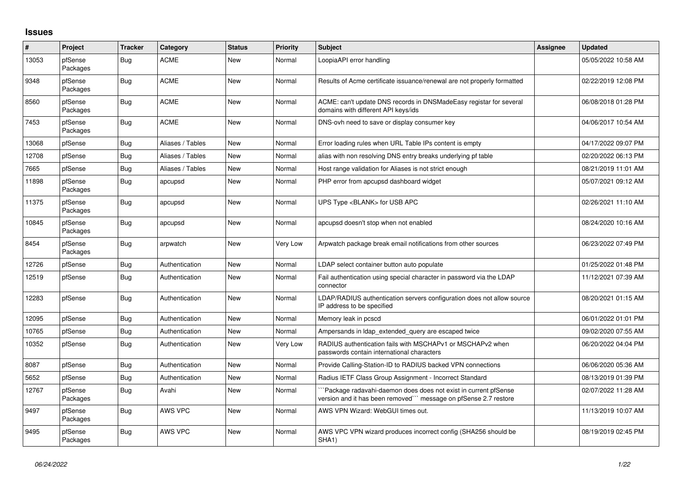## **Issues**

| #     | Project             | <b>Tracker</b> | Category         | <b>Status</b> | <b>Priority</b> | <b>Subject</b>                                                                                                                     | Assignee | <b>Updated</b>      |
|-------|---------------------|----------------|------------------|---------------|-----------------|------------------------------------------------------------------------------------------------------------------------------------|----------|---------------------|
| 13053 | pfSense<br>Packages | <b>Bug</b>     | <b>ACME</b>      | <b>New</b>    | Normal          | LoopiaAPI error handling                                                                                                           |          | 05/05/2022 10:58 AM |
| 9348  | pfSense<br>Packages | Bug            | <b>ACME</b>      | <b>New</b>    | Normal          | Results of Acme certificate issuance/renewal are not properly formatted                                                            |          | 02/22/2019 12:08 PM |
| 8560  | pfSense<br>Packages | Bug            | <b>ACME</b>      | New           | Normal          | ACME: can't update DNS records in DNSMadeEasy registar for several<br>domains with different API keys/ids                          |          | 06/08/2018 01:28 PM |
| 7453  | pfSense<br>Packages | Bug            | <b>ACME</b>      | <b>New</b>    | Normal          | DNS-ovh need to save or display consumer key                                                                                       |          | 04/06/2017 10:54 AM |
| 13068 | pfSense             | <b>Bug</b>     | Aliases / Tables | <b>New</b>    | Normal          | Error loading rules when URL Table IPs content is empty                                                                            |          | 04/17/2022 09:07 PM |
| 12708 | pfSense             | <b>Bug</b>     | Aliases / Tables | <b>New</b>    | Normal          | alias with non resolving DNS entry breaks underlying pf table                                                                      |          | 02/20/2022 06:13 PM |
| 7665  | pfSense             | <b>Bug</b>     | Aliases / Tables | <b>New</b>    | Normal          | Host range validation for Aliases is not strict enough                                                                             |          | 08/21/2019 11:01 AM |
| 11898 | pfSense<br>Packages | <b>Bug</b>     | apcupsd          | New           | Normal          | PHP error from apcupsd dashboard widget                                                                                            |          | 05/07/2021 09:12 AM |
| 11375 | pfSense<br>Packages | Bug            | apcupsd          | <b>New</b>    | Normal          | UPS Type <blank> for USB APC</blank>                                                                                               |          | 02/26/2021 11:10 AM |
| 10845 | pfSense<br>Packages | Bug            | apcupsd          | New           | Normal          | apcupsd doesn't stop when not enabled                                                                                              |          | 08/24/2020 10:16 AM |
| 8454  | pfSense<br>Packages | <b>Bug</b>     | arpwatch         | <b>New</b>    | Very Low        | Arpwatch package break email notifications from other sources                                                                      |          | 06/23/2022 07:49 PM |
| 12726 | pfSense             | <b>Bug</b>     | Authentication   | <b>New</b>    | Normal          | LDAP select container button auto populate                                                                                         |          | 01/25/2022 01:48 PM |
| 12519 | pfSense             | <b>Bug</b>     | Authentication   | <b>New</b>    | Normal          | Fail authentication using special character in password via the LDAP<br>connector                                                  |          | 11/12/2021 07:39 AM |
| 12283 | pfSense             | <b>Bug</b>     | Authentication   | <b>New</b>    | Normal          | LDAP/RADIUS authentication servers configuration does not allow source<br>IP address to be specified                               |          | 08/20/2021 01:15 AM |
| 12095 | pfSense             | <b>Bug</b>     | Authentication   | <b>New</b>    | Normal          | Memory leak in pcscd                                                                                                               |          | 06/01/2022 01:01 PM |
| 10765 | pfSense             | Bug            | Authentication   | <b>New</b>    | Normal          | Ampersands in Idap extended query are escaped twice                                                                                |          | 09/02/2020 07:55 AM |
| 10352 | pfSense             | Bug            | Authentication   | <b>New</b>    | Very Low        | RADIUS authentication fails with MSCHAPv1 or MSCHAPv2 when<br>passwords contain international characters                           |          | 06/20/2022 04:04 PM |
| 8087  | pfSense             | <b>Bug</b>     | Authentication   | <b>New</b>    | Normal          | Provide Calling-Station-ID to RADIUS backed VPN connections                                                                        |          | 06/06/2020 05:36 AM |
| 5652  | pfSense             | <b>Bug</b>     | Authentication   | <b>New</b>    | Normal          | Radius IETF Class Group Assignment - Incorrect Standard                                                                            |          | 08/13/2019 01:39 PM |
| 12767 | pfSense<br>Packages | <b>Bug</b>     | Avahi            | New           | Normal          | Package radavahi-daemon does does not exist in current pfSense<br>version and it has been removed"" message on pfSense 2.7 restore |          | 02/07/2022 11:28 AM |
| 9497  | pfSense<br>Packages | Bug            | AWS VPC          | <b>New</b>    | Normal          | AWS VPN Wizard: WebGUI times out.                                                                                                  |          | 11/13/2019 10:07 AM |
| 9495  | pfSense<br>Packages | Bug            | AWS VPC          | <b>New</b>    | Normal          | AWS VPC VPN wizard produces incorrect config (SHA256 should be<br>SHA1)                                                            |          | 08/19/2019 02:45 PM |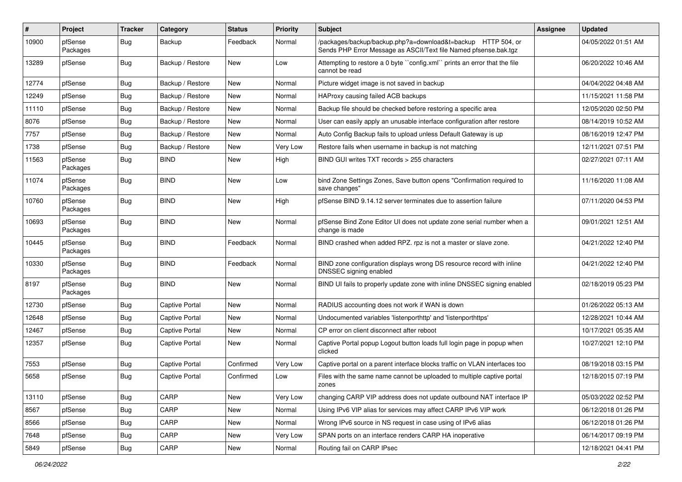| #     | Project             | <b>Tracker</b> | Category              | <b>Status</b> | <b>Priority</b> | <b>Subject</b>                                                                                                                   | Assignee | <b>Updated</b>      |
|-------|---------------------|----------------|-----------------------|---------------|-----------------|----------------------------------------------------------------------------------------------------------------------------------|----------|---------------------|
| 10900 | pfSense<br>Packages | Bug            | Backup                | Feedback      | Normal          | /packages/backup/backup.php?a=download&t=backup HTTP 504, or<br>Sends PHP Error Message as ASCII/Text file Named pfsense.bak.tgz |          | 04/05/2022 01:51 AM |
| 13289 | pfSense             | Bug            | Backup / Restore      | <b>New</b>    | Low             | Attempting to restore a 0 byte "config.xml" prints an error that the file<br>cannot be read                                      |          | 06/20/2022 10:46 AM |
| 12774 | pfSense             | Bug            | Backup / Restore      | New           | Normal          | Picture widget image is not saved in backup                                                                                      |          | 04/04/2022 04:48 AM |
| 12249 | pfSense             | <b>Bug</b>     | Backup / Restore      | New           | Normal          | HAProxy causing failed ACB backups                                                                                               |          | 11/15/2021 11:58 PM |
| 11110 | pfSense             | Bug            | Backup / Restore      | New           | Normal          | Backup file should be checked before restoring a specific area                                                                   |          | 12/05/2020 02:50 PM |
| 8076  | pfSense             | Bug            | Backup / Restore      | <b>New</b>    | Normal          | User can easily apply an unusable interface configuration after restore                                                          |          | 08/14/2019 10:52 AM |
| 7757  | pfSense             | Bug            | Backup / Restore      | New           | Normal          | Auto Config Backup fails to upload unless Default Gateway is up                                                                  |          | 08/16/2019 12:47 PM |
| 1738  | pfSense             | Bug            | Backup / Restore      | New           | Very Low        | Restore fails when username in backup is not matching                                                                            |          | 12/11/2021 07:51 PM |
| 11563 | pfSense<br>Packages | Bug            | <b>BIND</b>           | <b>New</b>    | High            | BIND GUI writes TXT records > 255 characters                                                                                     |          | 02/27/2021 07:11 AM |
| 11074 | pfSense<br>Packages | <b>Bug</b>     | <b>BIND</b>           | <b>New</b>    | Low             | bind Zone Settings Zones, Save button opens "Confirmation required to<br>save changes"                                           |          | 11/16/2020 11:08 AM |
| 10760 | pfSense<br>Packages | Bug            | <b>BIND</b>           | <b>New</b>    | High            | pfSense BIND 9.14.12 server terminates due to assertion failure                                                                  |          | 07/11/2020 04:53 PM |
| 10693 | pfSense<br>Packages | Bug            | <b>BIND</b>           | <b>New</b>    | Normal          | pfSense Bind Zone Editor UI does not update zone serial number when a<br>change is made                                          |          | 09/01/2021 12:51 AM |
| 10445 | pfSense<br>Packages | <b>Bug</b>     | <b>BIND</b>           | Feedback      | Normal          | BIND crashed when added RPZ. rpz is not a master or slave zone.                                                                  |          | 04/21/2022 12:40 PM |
| 10330 | pfSense<br>Packages | Bug            | <b>BIND</b>           | Feedback      | Normal          | BIND zone configuration displays wrong DS resource record with inline<br>DNSSEC signing enabled                                  |          | 04/21/2022 12:40 PM |
| 8197  | pfSense<br>Packages | <b>Bug</b>     | <b>BIND</b>           | <b>New</b>    | Normal          | BIND UI fails to properly update zone with inline DNSSEC signing enabled                                                         |          | 02/18/2019 05:23 PM |
| 12730 | pfSense             | Bug            | Captive Portal        | <b>New</b>    | Normal          | RADIUS accounting does not work if WAN is down                                                                                   |          | 01/26/2022 05:13 AM |
| 12648 | pfSense             | Bug            | <b>Captive Portal</b> | New           | Normal          | Undocumented variables 'listenporthttp' and 'listenporthttps'                                                                    |          | 12/28/2021 10:44 AM |
| 12467 | pfSense             | Bug            | <b>Captive Portal</b> | <b>New</b>    | Normal          | CP error on client disconnect after reboot                                                                                       |          | 10/17/2021 05:35 AM |
| 12357 | pfSense             | Bug            | <b>Captive Portal</b> | New           | Normal          | Captive Portal popup Logout button loads full login page in popup when<br>clicked                                                |          | 10/27/2021 12:10 PM |
| 7553  | pfSense             | Bug            | <b>Captive Portal</b> | Confirmed     | Very Low        | Captive portal on a parent interface blocks traffic on VLAN interfaces too                                                       |          | 08/19/2018 03:15 PM |
| 5658  | pfSense             | Bug            | <b>Captive Portal</b> | Confirmed     | Low             | Files with the same name cannot be uploaded to multiple captive portal                                                           |          | 12/18/2015 07:19 PM |
| 13110 | pfSense             | Bug            | CARP                  | New           | Very Low        | changing CARP VIP address does not update outbound NAT interface IP                                                              |          | 05/03/2022 02:52 PM |
| 8567  | pfSense             | <b>Bug</b>     | CARP                  | New           | Normal          | Using IPv6 VIP alias for services may affect CARP IPv6 VIP work                                                                  |          | 06/12/2018 01:26 PM |
| 8566  | pfSense             | <b>Bug</b>     | CARP                  | New           | Normal          | Wrong IPv6 source in NS request in case using of IPv6 alias                                                                      |          | 06/12/2018 01:26 PM |
| 7648  | pfSense             | <b>Bug</b>     | CARP                  | New           | Very Low        | SPAN ports on an interface renders CARP HA inoperative                                                                           |          | 06/14/2017 09:19 PM |
| 5849  | pfSense             | <b>Bug</b>     | CARP                  | New           | Normal          | Routing fail on CARP IPsec                                                                                                       |          | 12/18/2021 04:41 PM |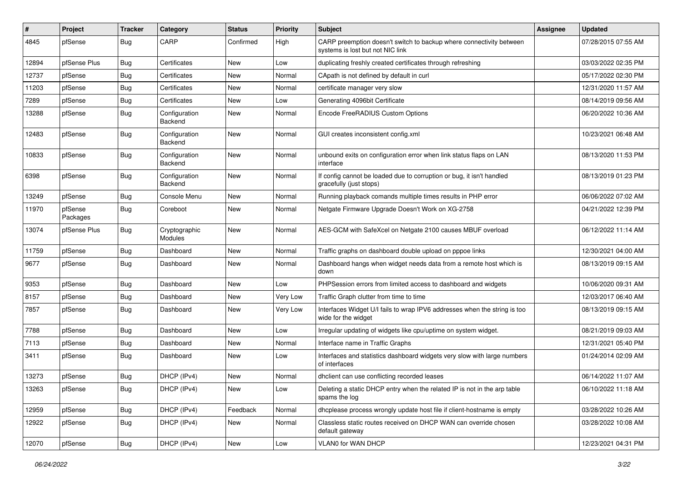| $\vert$ # | Project             | <b>Tracker</b> | Category                        | <b>Status</b> | <b>Priority</b> | <b>Subject</b>                                                                                          | <b>Assignee</b> | <b>Updated</b>      |
|-----------|---------------------|----------------|---------------------------------|---------------|-----------------|---------------------------------------------------------------------------------------------------------|-----------------|---------------------|
| 4845      | pfSense             | Bug            | CARP                            | Confirmed     | High            | CARP preemption doesn't switch to backup where connectivity between<br>systems is lost but not NIC link |                 | 07/28/2015 07:55 AM |
| 12894     | pfSense Plus        | <b>Bug</b>     | Certificates                    | New           | Low             | duplicating freshly created certificates through refreshing                                             |                 | 03/03/2022 02:35 PM |
| 12737     | pfSense             | <b>Bug</b>     | Certificates                    | New           | Normal          | CApath is not defined by default in curl                                                                |                 | 05/17/2022 02:30 PM |
| 11203     | pfSense             | <b>Bug</b>     | Certificates                    | New           | Normal          | certificate manager very slow                                                                           |                 | 12/31/2020 11:57 AM |
| 7289      | pfSense             | <b>Bug</b>     | Certificates                    | <b>New</b>    | Low             | Generating 4096bit Certificate                                                                          |                 | 08/14/2019 09:56 AM |
| 13288     | pfSense             | <b>Bug</b>     | Configuration<br>Backend        | New           | Normal          | Encode FreeRADIUS Custom Options                                                                        |                 | 06/20/2022 10:36 AM |
| 12483     | pfSense             | <b>Bug</b>     | Configuration<br>Backend        | <b>New</b>    | Normal          | GUI creates inconsistent config.xml                                                                     |                 | 10/23/2021 06:48 AM |
| 10833     | pfSense             | Bug            | Configuration<br>Backend        | <b>New</b>    | Normal          | unbound exits on configuration error when link status flaps on LAN<br>interface                         |                 | 08/13/2020 11:53 PM |
| 6398      | pfSense             | <b>Bug</b>     | Configuration<br>Backend        | <b>New</b>    | Normal          | If config cannot be loaded due to corruption or bug, it isn't handled<br>gracefully (just stops)        |                 | 08/13/2019 01:23 PM |
| 13249     | pfSense             | <b>Bug</b>     | Console Menu                    | New           | Normal          | Running playback comands multiple times results in PHP error                                            |                 | 06/06/2022 07:02 AM |
| 11970     | pfSense<br>Packages | Bug            | Coreboot                        | <b>New</b>    | Normal          | Netgate Firmware Upgrade Doesn't Work on XG-2758                                                        |                 | 04/21/2022 12:39 PM |
| 13074     | pfSense Plus        | <b>Bug</b>     | Cryptographic<br><b>Modules</b> | New           | Normal          | AES-GCM with SafeXcel on Netgate 2100 causes MBUF overload                                              |                 | 06/12/2022 11:14 AM |
| 11759     | pfSense             | Bug            | Dashboard                       | <b>New</b>    | Normal          | Traffic graphs on dashboard double upload on pppoe links                                                |                 | 12/30/2021 04:00 AM |
| 9677      | pfSense             | <b>Bug</b>     | Dashboard                       | <b>New</b>    | Normal          | Dashboard hangs when widget needs data from a remote host which is<br>down                              |                 | 08/13/2019 09:15 AM |
| 9353      | pfSense             | Bug            | Dashboard                       | <b>New</b>    | Low             | PHPSession errors from limited access to dashboard and widgets                                          |                 | 10/06/2020 09:31 AM |
| 8157      | pfSense             | <b>Bug</b>     | Dashboard                       | <b>New</b>    | Very Low        | Traffic Graph clutter from time to time                                                                 |                 | 12/03/2017 06:40 AM |
| 7857      | pfSense             | <b>Bug</b>     | Dashboard                       | New           | Very Low        | Interfaces Widget U/I fails to wrap IPV6 addresses when the string is too<br>wide for the widget        |                 | 08/13/2019 09:15 AM |
| 7788      | pfSense             | <b>Bug</b>     | Dashboard                       | <b>New</b>    | Low             | Irregular updating of widgets like cpu/uptime on system widget.                                         |                 | 08/21/2019 09:03 AM |
| 7113      | pfSense             | Bug            | Dashboard                       | New           | Normal          | Interface name in Traffic Graphs                                                                        |                 | 12/31/2021 05:40 PM |
| 3411      | pfSense             | <b>Bug</b>     | Dashboard                       | New           | Low             | Interfaces and statistics dashboard widgets very slow with large numbers<br>of interfaces               |                 | 01/24/2014 02:09 AM |
| 13273     | pfSense             | <b>Bug</b>     | DHCP (IPv4)                     | <b>New</b>    | Normal          | dhclient can use conflicting recorded leases                                                            |                 | 06/14/2022 11:07 AM |
| 13263     | pfSense             | Bug            | DHCP (IPv4)                     | New           | Low             | Deleting a static DHCP entry when the related IP is not in the arp table<br>spams the log               |                 | 06/10/2022 11:18 AM |
| 12959     | pfSense             | Bug            | DHCP (IPv4)                     | Feedback      | Normal          | dhcplease process wrongly update host file if client-hostname is empty                                  |                 | 03/28/2022 10:26 AM |
| 12922     | pfSense             | Bug            | DHCP (IPv4)                     | New           | Normal          | Classless static routes received on DHCP WAN can override chosen<br>default gateway                     |                 | 03/28/2022 10:08 AM |
| 12070     | pfSense             | <b>Bug</b>     | DHCP (IPv4)                     | New           | Low             | <b>VLAN0 for WAN DHCP</b>                                                                               |                 | 12/23/2021 04:31 PM |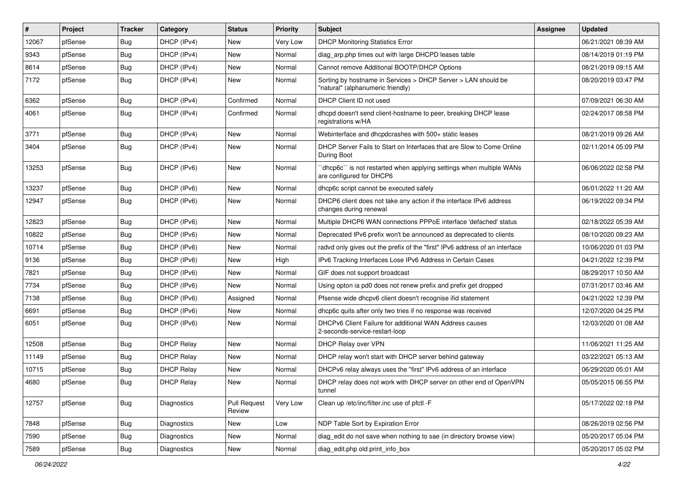| #     | Project | <b>Tracker</b> | Category          | <b>Status</b>                 | <b>Priority</b> | <b>Subject</b>                                                                                     | <b>Assignee</b> | <b>Updated</b>      |
|-------|---------|----------------|-------------------|-------------------------------|-----------------|----------------------------------------------------------------------------------------------------|-----------------|---------------------|
| 12067 | pfSense | <b>Bug</b>     | DHCP (IPv4)       | New                           | Very Low        | <b>DHCP Monitoring Statistics Error</b>                                                            |                 | 06/21/2021 08:39 AM |
| 9343  | pfSense | <b>Bug</b>     | DHCP (IPv4)       | New                           | Normal          | diag_arp.php times out with large DHCPD leases table                                               |                 | 08/14/2019 01:19 PM |
| 8614  | pfSense | <b>Bug</b>     | DHCP (IPv4)       | New                           | Normal          | Cannot remove Additional BOOTP/DHCP Options                                                        |                 | 08/21/2019 09:15 AM |
| 7172  | pfSense | <b>Bug</b>     | DHCP (IPv4)       | New                           | Normal          | Sorting by hostname in Services > DHCP Server > LAN should be<br>"natural" (alphanumeric friendly) |                 | 08/20/2019 03:47 PM |
| 6362  | pfSense | <b>Bug</b>     | DHCP (IPv4)       | Confirmed                     | Normal          | DHCP Client ID not used                                                                            |                 | 07/09/2021 06:30 AM |
| 4061  | pfSense | Bug            | DHCP (IPv4)       | Confirmed                     | Normal          | dhcpd doesn't send client-hostname to peer, breaking DHCP lease<br>registrations w/HA              |                 | 02/24/2017 08:58 PM |
| 3771  | pfSense | <b>Bug</b>     | DHCP (IPv4)       | <b>New</b>                    | Normal          | Webinterface and dhcpdcrashes with 500+ static leases                                              |                 | 08/21/2019 09:26 AM |
| 3404  | pfSense | <b>Bug</b>     | DHCP (IPv4)       | New                           | Normal          | DHCP Server Fails to Start on Interfaces that are Slow to Come Online<br>During Boot               |                 | 02/11/2014 05:09 PM |
| 13253 | pfSense | <b>Bug</b>     | DHCP (IPv6)       | New                           | Normal          | 'dhcp6c'' is not restarted when applying settings when multiple WANs<br>are configured for DHCP6   |                 | 06/06/2022 02:58 PM |
| 13237 | pfSense | <b>Bug</b>     | DHCP (IPv6)       | New                           | Normal          | dhcp6c script cannot be executed safely                                                            |                 | 06/01/2022 11:20 AM |
| 12947 | pfSense | <b>Bug</b>     | DHCP (IPv6)       | New                           | Normal          | DHCP6 client does not take any action if the interface IPv6 address<br>changes during renewal      |                 | 06/19/2022 09:34 PM |
| 12823 | pfSense | Bug            | DHCP (IPv6)       | New                           | Normal          | Multiple DHCP6 WAN connections PPPoE interface 'defached' status                                   |                 | 02/18/2022 05:39 AM |
| 10822 | pfSense | <b>Bug</b>     | DHCP (IPv6)       | New                           | Normal          | Deprecated IPv6 prefix won't be announced as deprecated to clients                                 |                 | 08/10/2020 09:23 AM |
| 10714 | pfSense | <b>Bug</b>     | DHCP (IPv6)       | New                           | Normal          | radyd only gives out the prefix of the "first" IPv6 address of an interface                        |                 | 10/06/2020 01:03 PM |
| 9136  | pfSense | <b>Bug</b>     | DHCP (IPv6)       | New                           | High            | IPv6 Tracking Interfaces Lose IPv6 Address in Certain Cases                                        |                 | 04/21/2022 12:39 PM |
| 7821  | pfSense | <b>Bug</b>     | DHCP (IPv6)       | New                           | Normal          | GIF does not support broadcast                                                                     |                 | 08/29/2017 10:50 AM |
| 7734  | pfSense | <b>Bug</b>     | DHCP (IPv6)       | New                           | Normal          | Using opton ia pd0 does not renew prefix and prefix get dropped                                    |                 | 07/31/2017 03:46 AM |
| 7138  | pfSense | <b>Bug</b>     | DHCP (IPv6)       | Assigned                      | Normal          | Pfsense wide dhcpv6 client doesn't recognise if id statement                                       |                 | 04/21/2022 12:39 PM |
| 6691  | pfSense | <b>Bug</b>     | DHCP (IPv6)       | <b>New</b>                    | Normal          | dhcp6c quits after only two tries if no response was received                                      |                 | 12/07/2020 04:25 PM |
| 6051  | pfSense | <b>Bug</b>     | DHCP (IPv6)       | New                           | Normal          | DHCPv6 Client Failure for additional WAN Address causes<br>2-seconds-service-restart-loop          |                 | 12/03/2020 01:08 AM |
| 12508 | pfSense | Bug            | <b>DHCP Relay</b> | New                           | Normal          | DHCP Relay over VPN                                                                                |                 | 11/06/2021 11:25 AM |
| 11149 | pfSense | Bug            | <b>DHCP Relay</b> | New                           | Normal          | DHCP relay won't start with DHCP server behind gateway                                             |                 | 03/22/2021 05:13 AM |
| 10715 | pfSense | <b>Bug</b>     | <b>DHCP Relay</b> | New                           | Normal          | DHCPv6 relay always uses the "first" IPv6 address of an interface                                  |                 | 06/29/2020 05:01 AM |
| 4680  | pfSense | <b>Bug</b>     | <b>DHCP Relay</b> | New                           | Normal          | DHCP relay does not work with DHCP server on other end of OpenVPN<br>tunnel                        |                 | 05/05/2015 06:55 PM |
| 12757 | pfSense | <b>Bug</b>     | Diagnostics       | <b>Pull Request</b><br>Review | Very Low        | Clean up /etc/inc/filter.inc use of pfctl -F                                                       |                 | 05/17/2022 02:18 PM |
| 7848  | pfSense | <b>Bug</b>     | Diagnostics       | <b>New</b>                    | Low             | NDP Table Sort by Expiration Error                                                                 |                 | 08/26/2019 02:56 PM |
| 7590  | pfSense | <b>Bug</b>     | Diagnostics       | New                           | Normal          | diag_edit do not save when nothing to sae (in directory browse view)                               |                 | 05/20/2017 05:04 PM |
| 7589  | pfSense | Bug            | Diagnostics       | New                           | Normal          | diag_edit.php old print_info_box                                                                   |                 | 05/20/2017 05:02 PM |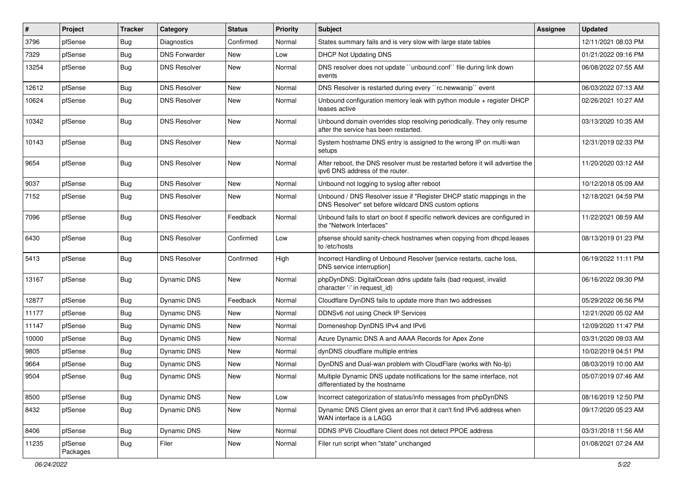| $\vert$ # | Project             | <b>Tracker</b> | Category             | <b>Status</b> | <b>Priority</b> | Subject                                                                                                                       | <b>Assignee</b> | <b>Updated</b>      |
|-----------|---------------------|----------------|----------------------|---------------|-----------------|-------------------------------------------------------------------------------------------------------------------------------|-----------------|---------------------|
| 3796      | pfSense             | <b>Bug</b>     | Diagnostics          | Confirmed     | Normal          | States summary fails and is very slow with large state tables                                                                 |                 | 12/11/2021 08:03 PM |
| 7329      | pfSense             | Bug            | <b>DNS Forwarder</b> | New           | Low             | <b>DHCP Not Updating DNS</b>                                                                                                  |                 | 01/21/2022 09:16 PM |
| 13254     | pfSense             | Bug            | <b>DNS Resolver</b>  | New           | Normal          | DNS resolver does not update "unbound.conf" file during link down<br>events                                                   |                 | 06/08/2022 07:55 AM |
| 12612     | pfSense             | <b>Bug</b>     | <b>DNS Resolver</b>  | New           | Normal          | DNS Resolver is restarted during every "rc.newwanip" event                                                                    |                 | 06/03/2022 07:13 AM |
| 10624     | pfSense             | Bug            | <b>DNS Resolver</b>  | New           | Normal          | Unbound configuration memory leak with python module + register DHCP<br>leases active                                         |                 | 02/26/2021 10:27 AM |
| 10342     | pfSense             | Bug            | <b>DNS Resolver</b>  | <b>New</b>    | Normal          | Unbound domain overrides stop resolving periodically. They only resume<br>after the service has been restarted.               |                 | 03/13/2020 10:35 AM |
| 10143     | pfSense             | <b>Bug</b>     | <b>DNS Resolver</b>  | New           | Normal          | System hostname DNS entry is assigned to the wrong IP on multi-wan<br>setups                                                  |                 | 12/31/2019 02:33 PM |
| 9654      | pfSense             | <b>Bug</b>     | <b>DNS Resolver</b>  | New           | Normal          | After reboot, the DNS resolver must be restarted before it will advertise the<br>ipv6 DNS address of the router.              |                 | 11/20/2020 03:12 AM |
| 9037      | pfSense             | <b>Bug</b>     | <b>DNS Resolver</b>  | New           | Normal          | Unbound not logging to syslog after reboot                                                                                    |                 | 10/12/2018 05:09 AM |
| 7152      | pfSense             | <b>Bug</b>     | <b>DNS Resolver</b>  | New           | Normal          | Unbound / DNS Resolver issue if "Register DHCP static mappings in the<br>DNS Resolver" set before wildcard DNS custom options |                 | 12/18/2021 04:59 PM |
| 7096      | pfSense             | Bug            | <b>DNS Resolver</b>  | Feedback      | Normal          | Unbound fails to start on boot if specific network devices are configured in<br>the "Network Interfaces"                      |                 | 11/22/2021 08:59 AM |
| 6430      | pfSense             | Bug            | <b>DNS Resolver</b>  | Confirmed     | Low             | pfsense should sanity-check hostnames when copying from dhcpd.leases<br>to /etc/hosts                                         |                 | 08/13/2019 01:23 PM |
| 5413      | pfSense             | <b>Bug</b>     | <b>DNS Resolver</b>  | Confirmed     | High            | Incorrect Handling of Unbound Resolver [service restarts, cache loss,<br>DNS service interruption]                            |                 | 06/19/2022 11:11 PM |
| 13167     | pfSense             | <b>Bug</b>     | <b>Dynamic DNS</b>   | New           | Normal          | phpDynDNS: DigitalOcean ddns update fails (bad request, invalid<br>character '-' in request id)                               |                 | 06/16/2022 09:30 PM |
| 12877     | pfSense             | <b>Bug</b>     | Dynamic DNS          | Feedback      | Normal          | Cloudflare DynDNS fails to update more than two addresses                                                                     |                 | 05/29/2022 06:56 PM |
| 11177     | pfSense             | <b>Bug</b>     | <b>Dynamic DNS</b>   | New           | Normal          | DDNSv6 not using Check IP Services                                                                                            |                 | 12/21/2020 05:02 AM |
| 11147     | pfSense             | <b>Bug</b>     | <b>Dynamic DNS</b>   | New           | Normal          | Domeneshop DynDNS IPv4 and IPv6                                                                                               |                 | 12/09/2020 11:47 PM |
| 10000     | pfSense             | Bug            | Dynamic DNS          | New           | Normal          | Azure Dynamic DNS A and AAAA Records for Apex Zone                                                                            |                 | 03/31/2020 09:03 AM |
| 9805      | pfSense             | <b>Bug</b>     | Dynamic DNS          | New           | Normal          | dynDNS cloudflare multiple entries                                                                                            |                 | 10/02/2019 04:51 PM |
| 9664      | pfSense             | <b>Bug</b>     | Dynamic DNS          | <b>New</b>    | Normal          | DynDNS and Dual-wan problem with CloudFlare (works with No-Ip)                                                                |                 | 08/03/2019 10:00 AM |
| 9504      | pfSense             | Bug            | <b>Dynamic DNS</b>   | New           | Normal          | Multiple Dynamic DNS update notifications for the same interface, not<br>differentiated by the hostname                       |                 | 05/07/2019 07:46 AM |
| 8500      | pfSense             | Bug            | Dynamic DNS          | New           | Low             | Incorrect categorization of status/info messages from phpDynDNS                                                               |                 | 08/16/2019 12:50 PM |
| 8432      | pfSense             | <b>Bug</b>     | Dynamic DNS          | New           | Normal          | Dynamic DNS Client gives an error that it can't find IPv6 address when<br>WAN interface is a LAGG                             |                 | 09/17/2020 05:23 AM |
| 8406      | pfSense             | <b>Bug</b>     | Dynamic DNS          | <b>New</b>    | Normal          | DDNS IPV6 Cloudflare Client does not detect PPOE address                                                                      |                 | 03/31/2018 11:56 AM |
| 11235     | pfSense<br>Packages | Bug            | Filer                | New           | Normal          | Filer run script when "state" unchanged                                                                                       |                 | 01/08/2021 07:24 AM |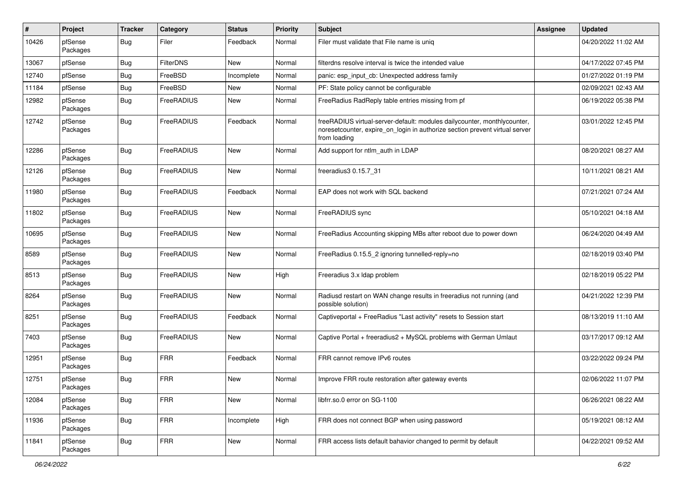| $\pmb{\#}$ | Project             | <b>Tracker</b> | Category         | <b>Status</b> | Priority | Subject                                                                                                                                                                 | <b>Assignee</b> | <b>Updated</b>      |
|------------|---------------------|----------------|------------------|---------------|----------|-------------------------------------------------------------------------------------------------------------------------------------------------------------------------|-----------------|---------------------|
| 10426      | pfSense<br>Packages | Bug            | Filer            | Feedback      | Normal   | Filer must validate that File name is uniq                                                                                                                              |                 | 04/20/2022 11:02 AM |
| 13067      | pfSense             | Bug            | <b>FilterDNS</b> | <b>New</b>    | Normal   | filterdns resolve interval is twice the intended value                                                                                                                  |                 | 04/17/2022 07:45 PM |
| 12740      | pfSense             | Bug            | FreeBSD          | Incomplete    | Normal   | panic: esp input cb: Unexpected address family                                                                                                                          |                 | 01/27/2022 01:19 PM |
| 11184      | pfSense             | <b>Bug</b>     | FreeBSD          | New           | Normal   | PF: State policy cannot be configurable                                                                                                                                 |                 | 02/09/2021 02:43 AM |
| 12982      | pfSense<br>Packages | Bug            | FreeRADIUS       | New           | Normal   | FreeRadius RadReply table entries missing from pf                                                                                                                       |                 | 06/19/2022 05:38 PM |
| 12742      | pfSense<br>Packages | <b>Bug</b>     | FreeRADIUS       | Feedback      | Normal   | freeRADIUS virtual-server-default: modules dailycounter, monthlycounter,<br>noresetcounter, expire on login in authorize section prevent virtual server<br>from loading |                 | 03/01/2022 12:45 PM |
| 12286      | pfSense<br>Packages | <b>Bug</b>     | FreeRADIUS       | <b>New</b>    | Normal   | Add support for ntlm_auth in LDAP                                                                                                                                       |                 | 08/20/2021 08:27 AM |
| 12126      | pfSense<br>Packages | <b>Bug</b>     | FreeRADIUS       | New           | Normal   | freeradius3 0.15.7_31                                                                                                                                                   |                 | 10/11/2021 08:21 AM |
| 11980      | pfSense<br>Packages | <b>Bug</b>     | FreeRADIUS       | Feedback      | Normal   | EAP does not work with SQL backend                                                                                                                                      |                 | 07/21/2021 07:24 AM |
| 11802      | pfSense<br>Packages | Bug            | FreeRADIUS       | New           | Normal   | FreeRADIUS sync                                                                                                                                                         |                 | 05/10/2021 04:18 AM |
| 10695      | pfSense<br>Packages | <b>Bug</b>     | FreeRADIUS       | New           | Normal   | FreeRadius Accounting skipping MBs after reboot due to power down                                                                                                       |                 | 06/24/2020 04:49 AM |
| 8589       | pfSense<br>Packages | Bug            | FreeRADIUS       | New           | Normal   | FreeRadius 0.15.5_2 ignoring tunnelled-reply=no                                                                                                                         |                 | 02/18/2019 03:40 PM |
| 8513       | pfSense<br>Packages | <b>Bug</b>     | FreeRADIUS       | New           | High     | Freeradius 3.x Idap problem                                                                                                                                             |                 | 02/18/2019 05:22 PM |
| 8264       | pfSense<br>Packages | <b>Bug</b>     | FreeRADIUS       | New           | Normal   | Radiusd restart on WAN change results in freeradius not running (and<br>possible solution)                                                                              |                 | 04/21/2022 12:39 PM |
| 8251       | pfSense<br>Packages | <b>Bug</b>     | FreeRADIUS       | Feedback      | Normal   | Captiveportal + FreeRadius "Last activity" resets to Session start                                                                                                      |                 | 08/13/2019 11:10 AM |
| 7403       | pfSense<br>Packages | Bug            | FreeRADIUS       | New           | Normal   | Captive Portal + freeradius2 + MySQL problems with German Umlaut                                                                                                        |                 | 03/17/2017 09:12 AM |
| 12951      | pfSense<br>Packages | Bug            | FRR              | Feedback      | Normal   | FRR cannot remove IPv6 routes                                                                                                                                           |                 | 03/22/2022 09:24 PM |
| 12751      | pfSense<br>Packages | Bug            | <b>FRR</b>       | New           | Normal   | Improve FRR route restoration after gateway events                                                                                                                      |                 | 02/06/2022 11:07 PM |
| 12084      | pfSense<br>Packages | Bug            | <b>FRR</b>       | New           | Normal   | libfrr.so.0 error on SG-1100                                                                                                                                            |                 | 06/26/2021 08:22 AM |
| 11936      | pfSense<br>Packages | <b>Bug</b>     | <b>FRR</b>       | Incomplete    | High     | FRR does not connect BGP when using password                                                                                                                            |                 | 05/19/2021 08:12 AM |
| 11841      | pfSense<br>Packages | Bug            | <b>FRR</b>       | New           | Normal   | FRR access lists default bahavior changed to permit by default                                                                                                          |                 | 04/22/2021 09:52 AM |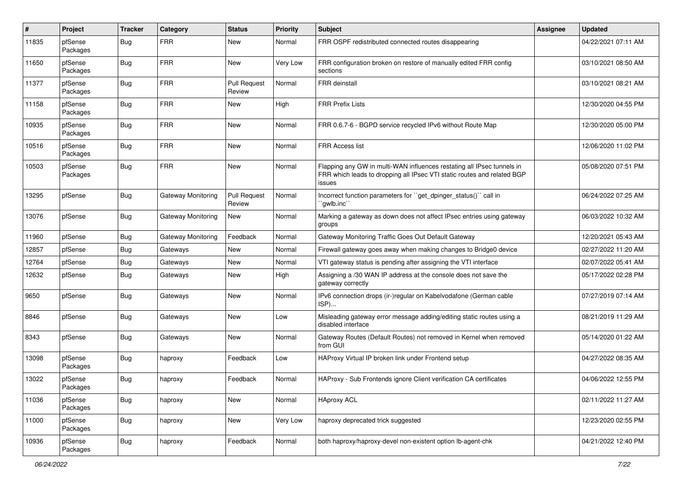| #     | Project             | <b>Tracker</b> | Category           | <b>Status</b>                 | <b>Priority</b> | <b>Subject</b>                                                                                                                                              | <b>Assignee</b> | <b>Updated</b>      |
|-------|---------------------|----------------|--------------------|-------------------------------|-----------------|-------------------------------------------------------------------------------------------------------------------------------------------------------------|-----------------|---------------------|
| 11835 | pfSense<br>Packages | <b>Bug</b>     | <b>FRR</b>         | <b>New</b>                    | Normal          | FRR OSPF redistributed connected routes disappearing                                                                                                        |                 | 04/22/2021 07:11 AM |
| 11650 | pfSense<br>Packages | Bug            | <b>FRR</b>         | New                           | Very Low        | FRR configuration broken on restore of manually edited FRR config<br>sections                                                                               |                 | 03/10/2021 08:50 AM |
| 11377 | pfSense<br>Packages | <b>Bug</b>     | <b>FRR</b>         | <b>Pull Request</b><br>Review | Normal          | <b>FRR</b> deinstall                                                                                                                                        |                 | 03/10/2021 08:21 AM |
| 11158 | pfSense<br>Packages | Bug            | <b>FRR</b>         | <b>New</b>                    | High            | <b>FRR Prefix Lists</b>                                                                                                                                     |                 | 12/30/2020 04:55 PM |
| 10935 | pfSense<br>Packages | <b>Bug</b>     | <b>FRR</b>         | <b>New</b>                    | Normal          | FRR 0.6.7-6 - BGPD service recycled IPv6 without Route Map                                                                                                  |                 | 12/30/2020 05:00 PM |
| 10516 | pfSense<br>Packages | Bug            | <b>FRR</b>         | <b>New</b>                    | Normal          | <b>FRR Access list</b>                                                                                                                                      |                 | 12/06/2020 11:02 PM |
| 10503 | pfSense<br>Packages | <b>Bug</b>     | <b>FRR</b>         | New                           | Normal          | Flapping any GW in multi-WAN influences restating all IPsec tunnels in<br>FRR which leads to dropping all IPsec VTI static routes and related BGP<br>issues |                 | 05/08/2020 07:51 PM |
| 13295 | pfSense             | <b>Bug</b>     | Gateway Monitoring | <b>Pull Request</b><br>Review | Normal          | Incorrect function parameters for "get_dpinger_status()" call in<br>`qwlb.inc``                                                                             |                 | 06/24/2022 07:25 AM |
| 13076 | pfSense             | Bug            | Gateway Monitoring | New                           | Normal          | Marking a gateway as down does not affect IPsec entries using gateway<br>groups                                                                             |                 | 06/03/2022 10:32 AM |
| 11960 | pfSense             | <b>Bug</b>     | Gateway Monitoring | Feedback                      | Normal          | Gateway Monitoring Traffic Goes Out Default Gateway                                                                                                         |                 | 12/20/2021 05:43 AM |
| 12857 | pfSense             | <b>Bug</b>     | Gateways           | <b>New</b>                    | Normal          | Firewall gateway goes away when making changes to Bridge0 device                                                                                            |                 | 02/27/2022 11:20 AM |
| 12764 | pfSense             | <b>Bug</b>     | Gateways           | <b>New</b>                    | Normal          | VTI gateway status is pending after assigning the VTI interface                                                                                             |                 | 02/07/2022 05:41 AM |
| 12632 | pfSense             | <b>Bug</b>     | Gateways           | New                           | High            | Assigning a /30 WAN IP address at the console does not save the<br>gateway correctly                                                                        |                 | 05/17/2022 02:28 PM |
| 9650  | pfSense             | Bug            | Gateways           | <b>New</b>                    | Normal          | IPv6 connection drops (ir-)regular on Kabelvodafone (German cable<br>ISP)                                                                                   |                 | 07/27/2019 07:14 AM |
| 8846  | pfSense             | <b>Bug</b>     | Gateways           | <b>New</b>                    | Low             | Misleading gateway error message adding/editing static routes using a<br>disabled interface                                                                 |                 | 08/21/2019 11:29 AM |
| 8343  | pfSense             | Bug            | Gateways           | <b>New</b>                    | Normal          | Gateway Routes (Default Routes) not removed in Kernel when removed<br>from GUI                                                                              |                 | 05/14/2020 01:22 AM |
| 13098 | pfSense<br>Packages | <b>Bug</b>     | haproxy            | Feedback                      | Low             | HAProxy Virtual IP broken link under Frontend setup                                                                                                         |                 | 04/27/2022 08:35 AM |
| 13022 | pfSense<br>Packages | <b>Bug</b>     | haproxy            | Feedback                      | Normal          | HAProxy - Sub Frontends ignore Client verification CA certificates                                                                                          |                 | 04/06/2022 12:55 PM |
| 11036 | pfSense<br>Packages | Bug            | haproxy            | New                           | Normal          | <b>HAproxy ACL</b>                                                                                                                                          |                 | 02/11/2022 11:27 AM |
| 11000 | pfSense<br>Packages | <b>Bug</b>     | haproxy            | New                           | Very Low        | haproxy deprecated trick suggested                                                                                                                          |                 | 12/23/2020 02:55 PM |
| 10936 | pfSense<br>Packages | <b>Bug</b>     | haproxy            | Feedback                      | Normal          | both haproxy/haproxy-devel non-existent option lb-agent-chk                                                                                                 |                 | 04/21/2022 12:40 PM |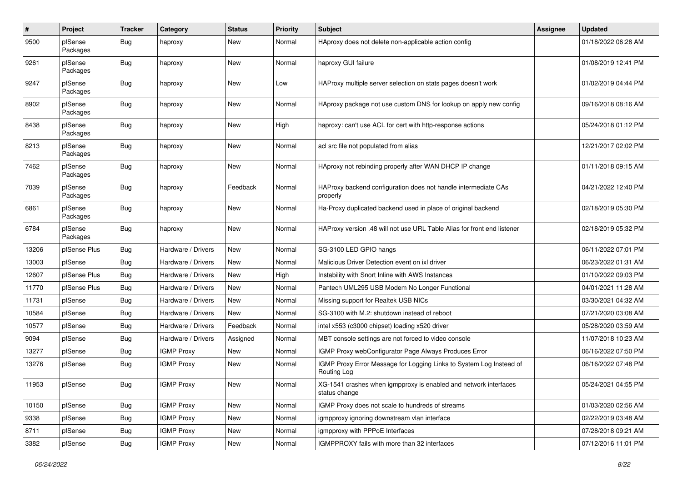| $\pmb{\#}$ | Project             | <b>Tracker</b> | Category           | <b>Status</b> | <b>Priority</b> | Subject                                                                            | <b>Assignee</b> | <b>Updated</b>      |
|------------|---------------------|----------------|--------------------|---------------|-----------------|------------------------------------------------------------------------------------|-----------------|---------------------|
| 9500       | pfSense<br>Packages | <b>Bug</b>     | haproxy            | New           | Normal          | HAproxy does not delete non-applicable action config                               |                 | 01/18/2022 06:28 AM |
| 9261       | pfSense<br>Packages | Bug            | haproxy            | New           | Normal          | haproxy GUI failure                                                                |                 | 01/08/2019 12:41 PM |
| 9247       | pfSense<br>Packages | <b>Bug</b>     | haproxy            | New           | Low             | HAProxy multiple server selection on stats pages doesn't work                      |                 | 01/02/2019 04:44 PM |
| 8902       | pfSense<br>Packages | <b>Bug</b>     | haproxy            | New           | Normal          | HAproxy package not use custom DNS for lookup on apply new config                  |                 | 09/16/2018 08:16 AM |
| 8438       | pfSense<br>Packages | Bug            | haproxy            | New           | High            | haproxy: can't use ACL for cert with http-response actions                         |                 | 05/24/2018 01:12 PM |
| 8213       | pfSense<br>Packages | Bug            | haproxy            | New           | Normal          | acl src file not populated from alias                                              |                 | 12/21/2017 02:02 PM |
| 7462       | pfSense<br>Packages | <b>Bug</b>     | haproxy            | New           | Normal          | HAproxy not rebinding properly after WAN DHCP IP change                            |                 | 01/11/2018 09:15 AM |
| 7039       | pfSense<br>Packages | Bug            | haproxy            | Feedback      | Normal          | HAProxy backend configuration does not handle intermediate CAs<br>properly         |                 | 04/21/2022 12:40 PM |
| 6861       | pfSense<br>Packages | Bug            | haproxy            | New           | Normal          | Ha-Proxy duplicated backend used in place of original backend                      |                 | 02/18/2019 05:30 PM |
| 6784       | pfSense<br>Packages | <b>Bug</b>     | haproxy            | New           | Normal          | HAProxy version .48 will not use URL Table Alias for front end listener            |                 | 02/18/2019 05:32 PM |
| 13206      | pfSense Plus        | Bug            | Hardware / Drivers | <b>New</b>    | Normal          | SG-3100 LED GPIO hangs                                                             |                 | 06/11/2022 07:01 PM |
| 13003      | pfSense             | <b>Bug</b>     | Hardware / Drivers | New           | Normal          | Malicious Driver Detection event on ixl driver                                     |                 | 06/23/2022 01:31 AM |
| 12607      | pfSense Plus        | <b>Bug</b>     | Hardware / Drivers | New           | High            | Instability with Snort Inline with AWS Instances                                   |                 | 01/10/2022 09:03 PM |
| 11770      | pfSense Plus        | Bug            | Hardware / Drivers | New           | Normal          | Pantech UML295 USB Modem No Longer Functional                                      |                 | 04/01/2021 11:28 AM |
| 11731      | pfSense             | <b>Bug</b>     | Hardware / Drivers | New           | Normal          | Missing support for Realtek USB NICs                                               |                 | 03/30/2021 04:32 AM |
| 10584      | pfSense             | Bug            | Hardware / Drivers | New           | Normal          | SG-3100 with M.2: shutdown instead of reboot                                       |                 | 07/21/2020 03:08 AM |
| 10577      | pfSense             | <b>Bug</b>     | Hardware / Drivers | Feedback      | Normal          | intel x553 (c3000 chipset) loading x520 driver                                     |                 | 05/28/2020 03:59 AM |
| 9094       | pfSense             | <b>Bug</b>     | Hardware / Drivers | Assigned      | Normal          | MBT console settings are not forced to video console                               |                 | 11/07/2018 10:23 AM |
| 13277      | pfSense             | Bug            | <b>IGMP Proxy</b>  | New           | Normal          | IGMP Proxy webConfigurator Page Always Produces Error                              |                 | 06/16/2022 07:50 PM |
| 13276      | pfSense             | <b>Bug</b>     | <b>IGMP Proxy</b>  | New           | Normal          | IGMP Proxy Error Message for Logging Links to System Log Instead of<br>Routing Log |                 | 06/16/2022 07:48 PM |
| 11953      | pfSense             | <b>Bug</b>     | IGMP Proxy         | New           | Normal          | XG-1541 crashes when igmpproxy is enabled and network interfaces<br>status change  |                 | 05/24/2021 04:55 PM |
| 10150      | pfSense             | Bug            | <b>IGMP Proxy</b>  | New           | Normal          | IGMP Proxy does not scale to hundreds of streams                                   |                 | 01/03/2020 02:56 AM |
| 9338       | pfSense             | <b>Bug</b>     | <b>IGMP Proxy</b>  | New           | Normal          | igmpproxy ignoring downstream vlan interface                                       |                 | 02/22/2019 03:48 AM |
| 8711       | pfSense             | <b>Bug</b>     | <b>IGMP Proxy</b>  | New           | Normal          | igmpproxy with PPPoE Interfaces                                                    |                 | 07/28/2018 09:21 AM |
| 3382       | pfSense             | <b>Bug</b>     | <b>IGMP Proxy</b>  | New           | Normal          | IGMPPROXY fails with more than 32 interfaces                                       |                 | 07/12/2016 11:01 PM |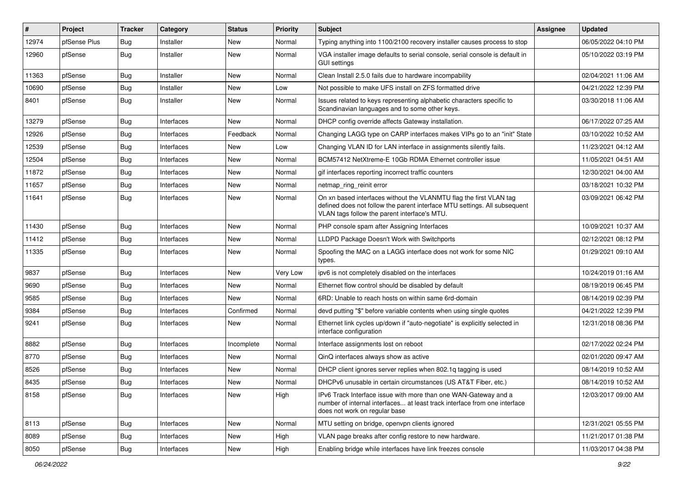| #     | Project      | <b>Tracker</b> | Category   | <b>Status</b> | <b>Priority</b> | Subject                                                                                                                                                                                         | <b>Assignee</b> | <b>Updated</b>      |
|-------|--------------|----------------|------------|---------------|-----------------|-------------------------------------------------------------------------------------------------------------------------------------------------------------------------------------------------|-----------------|---------------------|
| 12974 | pfSense Plus | <b>Bug</b>     | Installer  | New           | Normal          | Typing anything into 1100/2100 recovery installer causes process to stop                                                                                                                        |                 | 06/05/2022 04:10 PM |
| 12960 | pfSense      | <b>Bug</b>     | Installer  | New           | Normal          | VGA installer image defaults to serial console, serial console is default in<br><b>GUI settings</b>                                                                                             |                 | 05/10/2022 03:19 PM |
| 11363 | pfSense      | Bug            | Installer  | New           | Normal          | Clean Install 2.5.0 fails due to hardware incompability                                                                                                                                         |                 | 02/04/2021 11:06 AM |
| 10690 | pfSense      | Bug            | Installer  | New           | Low             | Not possible to make UFS install on ZFS formatted drive                                                                                                                                         |                 | 04/21/2022 12:39 PM |
| 8401  | pfSense      | <b>Bug</b>     | Installer  | New           | Normal          | Issues related to keys representing alphabetic characters specific to<br>Scandinavian languages and to some other keys.                                                                         |                 | 03/30/2018 11:06 AM |
| 13279 | pfSense      | <b>Bug</b>     | Interfaces | New           | Normal          | DHCP config override affects Gateway installation.                                                                                                                                              |                 | 06/17/2022 07:25 AM |
| 12926 | pfSense      | <b>Bug</b>     | Interfaces | Feedback      | Normal          | Changing LAGG type on CARP interfaces makes VIPs go to an "init" State                                                                                                                          |                 | 03/10/2022 10:52 AM |
| 12539 | pfSense      | Bug            | Interfaces | New           | Low             | Changing VLAN ID for LAN interface in assignments silently fails.                                                                                                                               |                 | 11/23/2021 04:12 AM |
| 12504 | pfSense      | <b>Bug</b>     | Interfaces | New           | Normal          | BCM57412 NetXtreme-E 10Gb RDMA Ethernet controller issue                                                                                                                                        |                 | 11/05/2021 04:51 AM |
| 11872 | pfSense      | Bug            | Interfaces | New           | Normal          | gif interfaces reporting incorrect traffic counters                                                                                                                                             |                 | 12/30/2021 04:00 AM |
| 11657 | pfSense      | <b>Bug</b>     | Interfaces | New           | Normal          | netmap_ring_reinit error                                                                                                                                                                        |                 | 03/18/2021 10:32 PM |
| 11641 | pfSense      | Bug            | Interfaces | New           | Normal          | On xn based interfaces without the VLANMTU flag the first VLAN tag<br>defined does not follow the parent interface MTU settings. All subsequent<br>VLAN tags follow the parent interface's MTU. |                 | 03/09/2021 06:42 PM |
| 11430 | pfSense      | <b>Bug</b>     | Interfaces | <b>New</b>    | Normal          | PHP console spam after Assigning Interfaces                                                                                                                                                     |                 | 10/09/2021 10:37 AM |
| 11412 | pfSense      | <b>Bug</b>     | Interfaces | New           | Normal          | LLDPD Package Doesn't Work with Switchports                                                                                                                                                     |                 | 02/12/2021 08:12 PM |
| 11335 | pfSense      | Bug            | Interfaces | New           | Normal          | Spoofing the MAC on a LAGG interface does not work for some NIC<br>types.                                                                                                                       |                 | 01/29/2021 09:10 AM |
| 9837  | pfSense      | Bug            | Interfaces | <b>New</b>    | Very Low        | ipv6 is not completely disabled on the interfaces                                                                                                                                               |                 | 10/24/2019 01:16 AM |
| 9690  | pfSense      | Bug            | Interfaces | New           | Normal          | Ethernet flow control should be disabled by default                                                                                                                                             |                 | 08/19/2019 06:45 PM |
| 9585  | pfSense      | Bug            | Interfaces | New           | Normal          | 6RD: Unable to reach hosts on within same 6rd-domain                                                                                                                                            |                 | 08/14/2019 02:39 PM |
| 9384  | pfSense      | <b>Bug</b>     | Interfaces | Confirmed     | Normal          | devd putting "\$" before variable contents when using single quotes                                                                                                                             |                 | 04/21/2022 12:39 PM |
| 9241  | pfSense      | <b>Bug</b>     | Interfaces | New           | Normal          | Ethernet link cycles up/down if "auto-negotiate" is explicitly selected in<br>interface configuration                                                                                           |                 | 12/31/2018 08:36 PM |
| 8882  | pfSense      | Bug            | Interfaces | Incomplete    | Normal          | Interface assignments lost on reboot                                                                                                                                                            |                 | 02/17/2022 02:24 PM |
| 8770  | pfSense      | <b>Bug</b>     | Interfaces | New           | Normal          | QinQ interfaces always show as active                                                                                                                                                           |                 | 02/01/2020 09:47 AM |
| 8526  | pfSense      | Bug            | Interfaces | New           | Normal          | DHCP client ignores server replies when 802.1q tagging is used                                                                                                                                  |                 | 08/14/2019 10:52 AM |
| 8435  | pfSense      | <b>Bug</b>     | Interfaces | New           | Normal          | DHCPv6 unusable in certain circumstances (US AT&T Fiber, etc.)                                                                                                                                  |                 | 08/14/2019 10:52 AM |
| 8158  | pfSense      | <b>Bug</b>     | Interfaces | New           | High            | IPv6 Track Interface issue with more than one WAN-Gateway and a<br>number of internal interfaces at least track interface from one interface<br>does not work on regular base                   |                 | 12/03/2017 09:00 AM |
| 8113  | pfSense      | <b>Bug</b>     | Interfaces | New           | Normal          | MTU setting on bridge, openvpn clients ignored                                                                                                                                                  |                 | 12/31/2021 05:55 PM |
| 8089  | pfSense      | Bug            | Interfaces | New           | High            | VLAN page breaks after config restore to new hardware.                                                                                                                                          |                 | 11/21/2017 01:38 PM |
| 8050  | pfSense      | Bug            | Interfaces | New           | High            | Enabling bridge while interfaces have link freezes console                                                                                                                                      |                 | 11/03/2017 04:38 PM |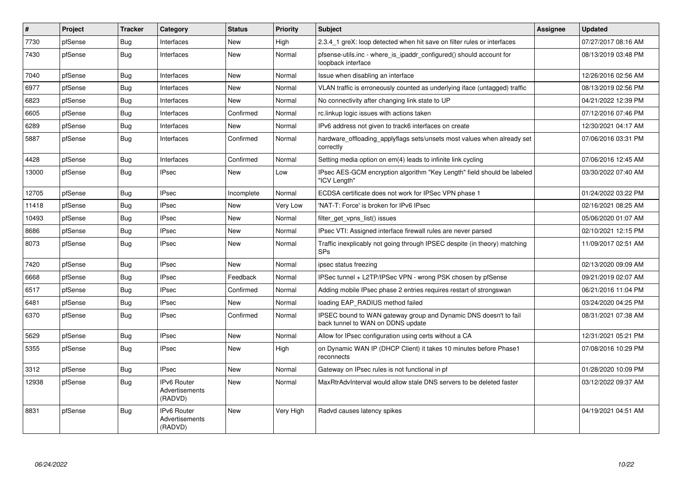| #     | Project | <b>Tracker</b> | Category                                        | <b>Status</b> | <b>Priority</b> | <b>Subject</b>                                                                                        | Assignee | Updated             |
|-------|---------|----------------|-------------------------------------------------|---------------|-----------------|-------------------------------------------------------------------------------------------------------|----------|---------------------|
| 7730  | pfSense | <b>Bug</b>     | Interfaces                                      | <b>New</b>    | High            | 2.3.4 1 greX: loop detected when hit save on filter rules or interfaces                               |          | 07/27/2017 08:16 AM |
| 7430  | pfSense | <b>Bug</b>     | Interfaces                                      | <b>New</b>    | Normal          | pfsense-utils.inc - where_is_ipaddr_configured() should account for<br>loopback interface             |          | 08/13/2019 03:48 PM |
| 7040  | pfSense | <b>Bug</b>     | Interfaces                                      | <b>New</b>    | Normal          | Issue when disabling an interface                                                                     |          | 12/26/2016 02:56 AM |
| 6977  | pfSense | <b>Bug</b>     | Interfaces                                      | <b>New</b>    | Normal          | VLAN traffic is erroneously counted as underlying iface (untagged) traffic                            |          | 08/13/2019 02:56 PM |
| 6823  | pfSense | <b>Bug</b>     | Interfaces                                      | <b>New</b>    | Normal          | No connectivity after changing link state to UP                                                       |          | 04/21/2022 12:39 PM |
| 6605  | pfSense | Bug            | Interfaces                                      | Confirmed     | Normal          | rc.linkup logic issues with actions taken                                                             |          | 07/12/2016 07:46 PM |
| 6289  | pfSense | Bug            | Interfaces                                      | <b>New</b>    | Normal          | IPv6 address not given to track6 interfaces on create                                                 |          | 12/30/2021 04:17 AM |
| 5887  | pfSense | Bug            | Interfaces                                      | Confirmed     | Normal          | hardware offloading applyflags sets/unsets most values when already set<br>correctly                  |          | 07/06/2016 03:31 PM |
| 4428  | pfSense | Bug            | Interfaces                                      | Confirmed     | Normal          | Setting media option on em(4) leads to infinite link cycling                                          |          | 07/06/2016 12:45 AM |
| 13000 | pfSense | Bug            | <b>IPsec</b>                                    | New           | Low             | IPsec AES-GCM encryption algorithm "Key Length" field should be labeled<br>"ICV Length"               |          | 03/30/2022 07:40 AM |
| 12705 | pfSense | Bug            | <b>IPsec</b>                                    | Incomplete    | Normal          | ECDSA certificate does not work for IPSec VPN phase 1                                                 |          | 01/24/2022 03:22 PM |
| 11418 | pfSense | Bug            | <b>IPsec</b>                                    | <b>New</b>    | Very Low        | 'NAT-T: Force' is broken for IPv6 IPsec                                                               |          | 02/16/2021 08:25 AM |
| 10493 | pfSense | Bug            | <b>IPsec</b>                                    | <b>New</b>    | Normal          | filter get vpns list() issues                                                                         |          | 05/06/2020 01:07 AM |
| 8686  | pfSense | Bug            | <b>IPsec</b>                                    | New           | Normal          | IPsec VTI: Assigned interface firewall rules are never parsed                                         |          | 02/10/2021 12:15 PM |
| 8073  | pfSense | Bug            | <b>IPsec</b>                                    | New           | Normal          | Traffic inexplicably not going through IPSEC despite (in theory) matching<br><b>SPs</b>               |          | 11/09/2017 02:51 AM |
| 7420  | pfSense | Bug            | <b>IPsec</b>                                    | <b>New</b>    | Normal          | ipsec status freezing                                                                                 |          | 02/13/2020 09:09 AM |
| 6668  | pfSense | <b>Bug</b>     | <b>IPsec</b>                                    | Feedback      | Normal          | IPSec tunnel + L2TP/IPSec VPN - wrong PSK chosen by pfSense                                           |          | 09/21/2019 02:07 AM |
| 6517  | pfSense | <b>Bug</b>     | <b>IPsec</b>                                    | Confirmed     | Normal          | Adding mobile IPsec phase 2 entries requires restart of strongswan                                    |          | 06/21/2016 11:04 PM |
| 6481  | pfSense | Bug            | <b>IPsec</b>                                    | New           | Normal          | loading EAP RADIUS method failed                                                                      |          | 03/24/2020 04:25 PM |
| 6370  | pfSense | Bug            | <b>IPsec</b>                                    | Confirmed     | Normal          | IPSEC bound to WAN gateway group and Dynamic DNS doesn't to fail<br>back tunnel to WAN on DDNS update |          | 08/31/2021 07:38 AM |
| 5629  | pfSense | Bug            | <b>IPsec</b>                                    | <b>New</b>    | Normal          | Allow for IPsec configuration using certs without a CA                                                |          | 12/31/2021 05:21 PM |
| 5355  | pfSense | Bug            | <b>IPsec</b>                                    | <b>New</b>    | High            | on Dynamic WAN IP (DHCP Client) it takes 10 minutes before Phase1<br>reconnects                       |          | 07/08/2016 10:29 PM |
| 3312  | pfSense | Bug            | <b>IPsec</b>                                    | <b>New</b>    | Normal          | Gateway on IPsec rules is not functional in pf                                                        |          | 01/28/2020 10:09 PM |
| 12938 | pfSense | <b>Bug</b>     | <b>IPv6 Router</b><br>Advertisements<br>(RADVD) | <b>New</b>    | Normal          | MaxRtrAdvInterval would allow stale DNS servers to be deleted faster                                  |          | 03/12/2022 09:37 AM |
| 8831  | pfSense | <b>Bug</b>     | IPv6 Router<br>Advertisements<br>(RADVD)        | <b>New</b>    | Very High       | Radvd causes latency spikes                                                                           |          | 04/19/2021 04:51 AM |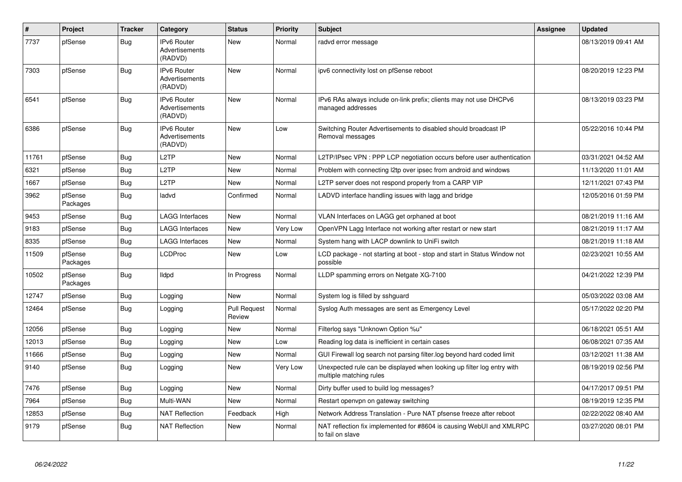| #     | Project             | <b>Tracker</b> | Category                                               | <b>Status</b>                 | <b>Priority</b> | <b>Subject</b>                                                                                    | Assignee | <b>Updated</b>      |
|-------|---------------------|----------------|--------------------------------------------------------|-------------------------------|-----------------|---------------------------------------------------------------------------------------------------|----------|---------------------|
| 7737  | pfSense             | <b>Bug</b>     | <b>IPv6 Router</b><br><b>Advertisements</b><br>(RADVD) | <b>New</b>                    | Normal          | radvd error message                                                                               |          | 08/13/2019 09:41 AM |
| 7303  | pfSense             | <b>Bug</b>     | IPv6 Router<br><b>Advertisements</b><br>(RADVD)        | <b>New</b>                    | Normal          | ipv6 connectivity lost on pfSense reboot                                                          |          | 08/20/2019 12:23 PM |
| 6541  | pfSense             | <b>Bug</b>     | <b>IPv6 Router</b><br>Advertisements<br>(RADVD)        | <b>New</b>                    | Normal          | IPv6 RAs always include on-link prefix; clients may not use DHCPv6<br>managed addresses           |          | 08/13/2019 03:23 PM |
| 6386  | pfSense             | <b>Bug</b>     | <b>IPv6 Router</b><br>Advertisements<br>(RADVD)        | <b>New</b>                    | Low             | Switching Router Advertisements to disabled should broadcast IP<br>Removal messages               |          | 05/22/2016 10:44 PM |
| 11761 | pfSense             | Bug            | L <sub>2</sub> TP                                      | <b>New</b>                    | Normal          | L2TP/IPsec VPN: PPP LCP negotiation occurs before user authentication                             |          | 03/31/2021 04:52 AM |
| 6321  | pfSense             | <b>Bug</b>     | L <sub>2</sub> TP                                      | <b>New</b>                    | Normal          | Problem with connecting I2tp over ipsec from android and windows                                  |          | 11/13/2020 11:01 AM |
| 1667  | pfSense             | <b>Bug</b>     | L <sub>2</sub> TP                                      | New                           | Normal          | L2TP server does not respond properly from a CARP VIP                                             |          | 12/11/2021 07:43 PM |
| 3962  | pfSense<br>Packages | Bug            | ladvd                                                  | Confirmed                     | Normal          | LADVD interface handling issues with lagg and bridge                                              |          | 12/05/2016 01:59 PM |
| 9453  | pfSense             | Bug            | <b>LAGG Interfaces</b>                                 | <b>New</b>                    | Normal          | VLAN Interfaces on LAGG get orphaned at boot                                                      |          | 08/21/2019 11:16 AM |
| 9183  | pfSense             | <b>Bug</b>     | <b>LAGG Interfaces</b>                                 | <b>New</b>                    | Very Low        | OpenVPN Lagg Interface not working after restart or new start                                     |          | 08/21/2019 11:17 AM |
| 8335  | pfSense             | <b>Bug</b>     | <b>LAGG Interfaces</b>                                 | New                           | Normal          | System hang with LACP downlink to UniFi switch                                                    |          | 08/21/2019 11:18 AM |
| 11509 | pfSense<br>Packages | <b>Bug</b>     | <b>LCDProc</b>                                         | <b>New</b>                    | Low             | LCD package - not starting at boot - stop and start in Status Window not<br>possible              |          | 02/23/2021 10:55 AM |
| 10502 | pfSense<br>Packages | Bug            | lldpd                                                  | In Progress                   | Normal          | LLDP spamming errors on Netgate XG-7100                                                           |          | 04/21/2022 12:39 PM |
| 12747 | pfSense             | <b>Bug</b>     | Logging                                                | <b>New</b>                    | Normal          | System log is filled by sshguard                                                                  |          | 05/03/2022 03:08 AM |
| 12464 | pfSense             | Bug            | Logging                                                | <b>Pull Request</b><br>Review | Normal          | Syslog Auth messages are sent as Emergency Level                                                  |          | 05/17/2022 02:20 PM |
| 12056 | pfSense             | Bug            | Logging                                                | New                           | Normal          | Filterlog says "Unknown Option %u"                                                                |          | 06/18/2021 05:51 AM |
| 12013 | pfSense             | <b>Bug</b>     | Logging                                                | New                           | Low             | Reading log data is inefficient in certain cases                                                  |          | 06/08/2021 07:35 AM |
| 11666 | pfSense             | Bug            | Logging                                                | New                           | Normal          | GUI Firewall log search not parsing filter.log beyond hard coded limit                            |          | 03/12/2021 11:38 AM |
| 9140  | pfSense             | <b>Bug</b>     | Logging                                                | New                           | Very Low        | Unexpected rule can be displayed when looking up filter log entry with<br>multiple matching rules |          | 08/19/2019 02:56 PM |
| 7476  | pfSense             | Bug            | Logging                                                | <b>New</b>                    | Normal          | Dirty buffer used to build log messages?                                                          |          | 04/17/2017 09:51 PM |
| 7964  | pfSense             | <b>Bug</b>     | Multi-WAN                                              | <b>New</b>                    | Normal          | Restart openvpn on gateway switching                                                              |          | 08/19/2019 12:35 PM |
| 12853 | pfSense             | Bug            | <b>NAT Reflection</b>                                  | Feedback                      | High            | Network Address Translation - Pure NAT pfsense freeze after reboot                                |          | 02/22/2022 08:40 AM |
| 9179  | pfSense             | Bug            | <b>NAT Reflection</b>                                  | <b>New</b>                    | Normal          | NAT reflection fix implemented for #8604 is causing WebUI and XMLRPC<br>to fail on slave          |          | 03/27/2020 08:01 PM |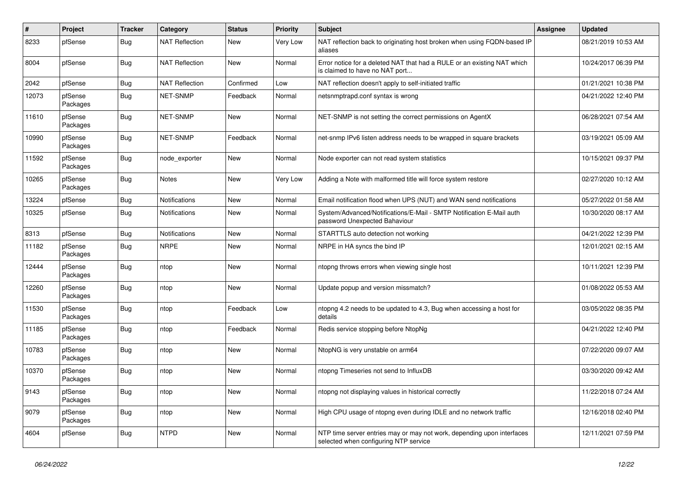| $\pmb{\#}$ | Project             | <b>Tracker</b> | Category              | <b>Status</b> | <b>Priority</b> | <b>Subject</b>                                                                                                  | <b>Assignee</b> | <b>Updated</b>      |
|------------|---------------------|----------------|-----------------------|---------------|-----------------|-----------------------------------------------------------------------------------------------------------------|-----------------|---------------------|
| 8233       | pfSense             | <b>Bug</b>     | <b>NAT Reflection</b> | New           | Very Low        | NAT reflection back to originating host broken when using FQDN-based IP<br>aliases                              |                 | 08/21/2019 10:53 AM |
| 8004       | pfSense             | Bug            | <b>NAT Reflection</b> | New           | Normal          | Error notice for a deleted NAT that had a RULE or an existing NAT which<br>is claimed to have no NAT port       |                 | 10/24/2017 06:39 PM |
| 2042       | pfSense             | Bug            | <b>NAT Reflection</b> | Confirmed     | Low             | NAT reflection doesn't apply to self-initiated traffic                                                          |                 | 01/21/2021 10:38 PM |
| 12073      | pfSense<br>Packages | <b>Bug</b>     | <b>NET-SNMP</b>       | Feedback      | Normal          | netsnmptrapd.conf syntax is wrong                                                                               |                 | 04/21/2022 12:40 PM |
| 11610      | pfSense<br>Packages | <b>Bug</b>     | <b>NET-SNMP</b>       | New           | Normal          | NET-SNMP is not setting the correct permissions on AgentX                                                       |                 | 06/28/2021 07:54 AM |
| 10990      | pfSense<br>Packages | Bug            | NET-SNMP              | Feedback      | Normal          | net-snmp IPv6 listen address needs to be wrapped in square brackets                                             |                 | 03/19/2021 05:09 AM |
| 11592      | pfSense<br>Packages | <b>Bug</b>     | node_exporter         | New           | Normal          | Node exporter can not read system statistics                                                                    |                 | 10/15/2021 09:37 PM |
| 10265      | pfSense<br>Packages | Bug            | Notes                 | New           | Very Low        | Adding a Note with malformed title will force system restore                                                    |                 | 02/27/2020 10:12 AM |
| 13224      | pfSense             | <b>Bug</b>     | <b>Notifications</b>  | New           | Normal          | Email notification flood when UPS (NUT) and WAN send notifications                                              |                 | 05/27/2022 01:58 AM |
| 10325      | pfSense             | <b>Bug</b>     | <b>Notifications</b>  | New           | Normal          | System/Advanced/Notifications/E-Mail - SMTP Notification E-Mail auth<br>password Unexpected Bahaviour           |                 | 10/30/2020 08:17 AM |
| 8313       | pfSense             | Bug            | <b>Notifications</b>  | <b>New</b>    | Normal          | STARTTLS auto detection not working                                                                             |                 | 04/21/2022 12:39 PM |
| 11182      | pfSense<br>Packages | Bug            | <b>NRPE</b>           | New           | Normal          | NRPE in HA syncs the bind IP                                                                                    |                 | 12/01/2021 02:15 AM |
| 12444      | pfSense<br>Packages | <b>Bug</b>     | ntop                  | New           | Normal          | ntopng throws errors when viewing single host                                                                   |                 | 10/11/2021 12:39 PM |
| 12260      | pfSense<br>Packages | <b>Bug</b>     | ntop                  | New           | Normal          | Update popup and version missmatch?                                                                             |                 | 01/08/2022 05:53 AM |
| 11530      | pfSense<br>Packages | <b>Bug</b>     | ntop                  | Feedback      | Low             | ntopng 4.2 needs to be updated to 4.3, Bug when accessing a host for<br>details                                 |                 | 03/05/2022 08:35 PM |
| 11185      | pfSense<br>Packages | <b>Bug</b>     | ntop                  | Feedback      | Normal          | Redis service stopping before NtopNg                                                                            |                 | 04/21/2022 12:40 PM |
| 10783      | pfSense<br>Packages | <b>Bug</b>     | ntop                  | New           | Normal          | NtopNG is very unstable on arm64                                                                                |                 | 07/22/2020 09:07 AM |
| 10370      | pfSense<br>Packages | Bug            | ntop                  | New           | Normal          | ntopng Timeseries not send to InfluxDB                                                                          |                 | 03/30/2020 09:42 AM |
| 9143       | pfSense<br>Packages | <b>Bug</b>     | ntop                  | New           | Normal          | ntopng not displaying values in historical correctly                                                            |                 | 11/22/2018 07:24 AM |
| 9079       | pfSense<br>Packages | <b>Bug</b>     | ntop                  | New           | Normal          | High CPU usage of ntopng even during IDLE and no network traffic                                                |                 | 12/16/2018 02:40 PM |
| 4604       | pfSense             | Bug            | <b>NTPD</b>           | New           | Normal          | NTP time server entries may or may not work, depending upon interfaces<br>selected when configuring NTP service |                 | 12/11/2021 07:59 PM |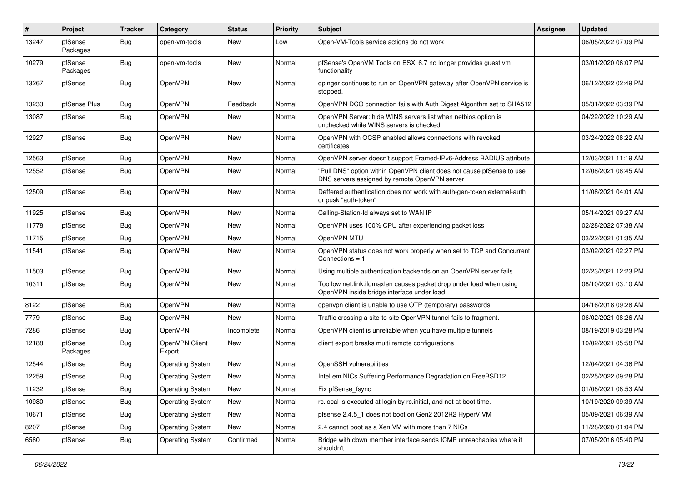| #     | Project             | <b>Tracker</b> | Category                 | <b>Status</b> | <b>Priority</b> | Subject                                                                                                                | <b>Assignee</b> | <b>Updated</b>      |
|-------|---------------------|----------------|--------------------------|---------------|-----------------|------------------------------------------------------------------------------------------------------------------------|-----------------|---------------------|
| 13247 | pfSense<br>Packages | Bug            | open-vm-tools            | New           | Low             | Open-VM-Tools service actions do not work                                                                              |                 | 06/05/2022 07:09 PM |
| 10279 | pfSense<br>Packages | Bug            | open-vm-tools            | New           | Normal          | pfSense's OpenVM Tools on ESXi 6.7 no longer provides guest vm<br>functionality                                        |                 | 03/01/2020 06:07 PM |
| 13267 | pfSense             | Bug            | OpenVPN                  | New           | Normal          | dpinger continues to run on OpenVPN gateway after OpenVPN service is<br>stopped.                                       |                 | 06/12/2022 02:49 PM |
| 13233 | pfSense Plus        | Bug            | OpenVPN                  | Feedback      | Normal          | OpenVPN DCO connection fails with Auth Digest Algorithm set to SHA512                                                  |                 | 05/31/2022 03:39 PM |
| 13087 | pfSense             | Bug            | OpenVPN                  | New           | Normal          | OpenVPN Server: hide WINS servers list when netbios option is<br>unchecked while WINS servers is checked               |                 | 04/22/2022 10:29 AM |
| 12927 | pfSense             | Bug            | OpenVPN                  | New           | Normal          | OpenVPN with OCSP enabled allows connections with revoked<br>certificates                                              |                 | 03/24/2022 08:22 AM |
| 12563 | pfSense             | <b>Bug</b>     | OpenVPN                  | <b>New</b>    | Normal          | OpenVPN server doesn't support Framed-IPv6-Address RADIUS attribute                                                    |                 | 12/03/2021 11:19 AM |
| 12552 | pfSense             | Bug            | OpenVPN                  | New           | Normal          | "Pull DNS" option within OpenVPN client does not cause pfSense to use<br>DNS servers assigned by remote OpenVPN server |                 | 12/08/2021 08:45 AM |
| 12509 | pfSense             | Bug            | OpenVPN                  | New           | Normal          | Deffered authentication does not work with auth-gen-token external-auth<br>or pusk "auth-token"                        |                 | 11/08/2021 04:01 AM |
| 11925 | pfSense             | <b>Bug</b>     | OpenVPN                  | New           | Normal          | Calling-Station-Id always set to WAN IP                                                                                |                 | 05/14/2021 09:27 AM |
| 11778 | pfSense             | Bug            | OpenVPN                  | New           | Normal          | OpenVPN uses 100% CPU after experiencing packet loss                                                                   |                 | 02/28/2022 07:38 AM |
| 11715 | pfSense             | <b>Bug</b>     | OpenVPN                  | New           | Normal          | OpenVPN MTU                                                                                                            |                 | 03/22/2021 01:35 AM |
| 11541 | pfSense             | Bug            | OpenVPN                  | New           | Normal          | OpenVPN status does not work properly when set to TCP and Concurrent<br>Connections $= 1$                              |                 | 03/02/2021 02:27 PM |
| 11503 | pfSense             | Bug            | OpenVPN                  | New           | Normal          | Using multiple authentication backends on an OpenVPN server fails                                                      |                 | 02/23/2021 12:23 PM |
| 10311 | pfSense             | Bug            | OpenVPN                  | New           | Normal          | Too low net.link.ifqmaxlen causes packet drop under load when using<br>OpenVPN inside bridge interface under load      |                 | 08/10/2021 03:10 AM |
| 8122  | pfSense             | Bug            | OpenVPN                  | New           | Normal          | openypn client is unable to use OTP (temporary) passwords                                                              |                 | 04/16/2018 09:28 AM |
| 7779  | pfSense             | Bug            | OpenVPN                  | New           | Normal          | Traffic crossing a site-to-site OpenVPN tunnel fails to fragment.                                                      |                 | 06/02/2021 08:26 AM |
| 7286  | pfSense             | Bug            | OpenVPN                  | Incomplete    | Normal          | OpenVPN client is unreliable when you have multiple tunnels                                                            |                 | 08/19/2019 03:28 PM |
| 12188 | pfSense<br>Packages | <b>Bug</b>     | OpenVPN Client<br>Export | New           | Normal          | client export breaks multi remote configurations                                                                       |                 | 10/02/2021 05:58 PM |
| 12544 | pfSense             | Bug            | <b>Operating System</b>  | New           | Normal          | OpenSSH vulnerabilities                                                                                                |                 | 12/04/2021 04:36 PM |
| 12259 | pfSense             | <b>Bug</b>     | <b>Operating System</b>  | New           | Normal          | Intel em NICs Suffering Performance Degradation on FreeBSD12                                                           |                 | 02/25/2022 09:28 PM |
| 11232 | pfSense             | Bug            | Operating System         | New           | Normal          | Fix pfSense_fsync                                                                                                      |                 | 01/08/2021 08:53 AM |
| 10980 | pfSense             | Bug            | <b>Operating System</b>  | New           | Normal          | rc.local is executed at login by rc.initial, and not at boot time.                                                     |                 | 10/19/2020 09:39 AM |
| 10671 | pfSense             | <b>Bug</b>     | <b>Operating System</b>  | New           | Normal          | pfsense 2.4.5_1 does not boot on Gen2 2012R2 HyperV VM                                                                 |                 | 05/09/2021 06:39 AM |
| 8207  | pfSense             | Bug            | <b>Operating System</b>  | New           | Normal          | 2.4 cannot boot as a Xen VM with more than 7 NICs                                                                      |                 | 11/28/2020 01:04 PM |
| 6580  | pfSense             | <b>Bug</b>     | <b>Operating System</b>  | Confirmed     | Normal          | Bridge with down member interface sends ICMP unreachables where it<br>shouldn't                                        |                 | 07/05/2016 05:40 PM |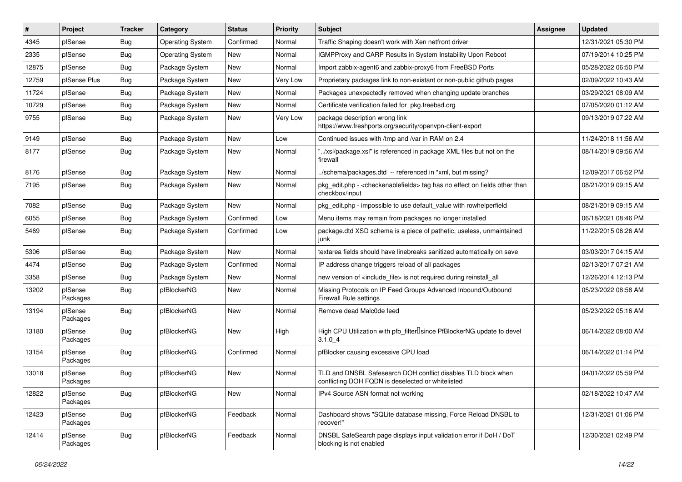| $\sharp$ | Project             | <b>Tracker</b> | Category                | <b>Status</b> | <b>Priority</b> | Subject                                                                                                            | <b>Assignee</b> | <b>Updated</b>      |
|----------|---------------------|----------------|-------------------------|---------------|-----------------|--------------------------------------------------------------------------------------------------------------------|-----------------|---------------------|
| 4345     | pfSense             | <b>Bug</b>     | <b>Operating System</b> | Confirmed     | Normal          | Traffic Shaping doesn't work with Xen netfront driver                                                              |                 | 12/31/2021 05:30 PM |
| 2335     | pfSense             | <b>Bug</b>     | <b>Operating System</b> | <b>New</b>    | Normal          | <b>IGMPProxy and CARP Results in System Instability Upon Reboot</b>                                                |                 | 07/19/2014 10:25 PM |
| 12875    | pfSense             | <b>Bug</b>     | Package System          | New           | Normal          | Import zabbix-agent6 and zabbix-proxy6 from FreeBSD Ports                                                          |                 | 05/28/2022 06:50 PM |
| 12759    | pfSense Plus        | Bug            | Package System          | New           | Very Low        | Proprietary packages link to non-existant or non-public github pages                                               |                 | 02/09/2022 10:43 AM |
| 11724    | pfSense             | Bug            | Package System          | <b>New</b>    | Normal          | Packages unexpectedly removed when changing update branches                                                        |                 | 03/29/2021 08:09 AM |
| 10729    | pfSense             | <b>Bug</b>     | Package System          | New           | Normal          | Certificate verification failed for pkg.freebsd.org                                                                |                 | 07/05/2020 01:12 AM |
| 9755     | pfSense             | <b>Bug</b>     | Package System          | New           | Very Low        | package description wrong link<br>https://www.freshports.org/security/openvpn-client-export                        |                 | 09/13/2019 07:22 AM |
| 9149     | pfSense             | Bug            | Package System          | <b>New</b>    | Low             | Continued issues with /tmp and /var in RAM on 2.4                                                                  |                 | 11/24/2018 11:56 AM |
| 8177     | pfSense             | <b>Bug</b>     | Package System          | <b>New</b>    | Normal          | "/xsl/package.xsl" is referenced in package XML files but not on the<br>firewall                                   |                 | 08/14/2019 09:56 AM |
| 8176     | pfSense             | <b>Bug</b>     | Package System          | <b>New</b>    | Normal          | /schema/packages.dtd -- referenced in *xml, but missing?                                                           |                 | 12/09/2017 06:52 PM |
| 7195     | pfSense             | Bug            | Package System          | New           | Normal          | pkg edit.php - <checkenable fields=""> tag has no effect on fields other than<br/>checkbox/input</checkenable>     |                 | 08/21/2019 09:15 AM |
| 7082     | pfSense             | <b>Bug</b>     | Package System          | New           | Normal          | pkg edit.php - impossible to use default value with rowhelperfield                                                 |                 | 08/21/2019 09:15 AM |
| 6055     | pfSense             | Bug            | Package System          | Confirmed     | Low             | Menu items may remain from packages no longer installed                                                            |                 | 06/18/2021 08:46 PM |
| 5469     | pfSense             | <b>Bug</b>     | Package System          | Confirmed     | Low             | package.dtd XSD schema is a piece of pathetic, useless, unmaintained<br>junk                                       |                 | 11/22/2015 06:26 AM |
| 5306     | pfSense             | Bug            | Package System          | New           | Normal          | textarea fields should have linebreaks sanitized automatically on save                                             |                 | 03/03/2017 04:15 AM |
| 4474     | pfSense             | <b>Bug</b>     | Package System          | Confirmed     | Normal          | IP address change triggers reload of all packages                                                                  |                 | 02/13/2017 07:21 AM |
| 3358     | pfSense             | Bug            | Package System          | <b>New</b>    | Normal          | new version of <include_file> is not required during reinstall_all</include_file>                                  |                 | 12/26/2014 12:13 PM |
| 13202    | pfSense<br>Packages | Bug            | pfBlockerNG             | New           | Normal          | Missing Protocols on IP Feed Groups Advanced Inbound/Outbound<br><b>Firewall Rule settings</b>                     |                 | 05/23/2022 08:58 AM |
| 13194    | pfSense<br>Packages | <b>Bug</b>     | pfBlockerNG             | <b>New</b>    | Normal          | Remove dead Malc0de feed                                                                                           |                 | 05/23/2022 05:16 AM |
| 13180    | pfSense<br>Packages | <b>Bug</b>     | pfBlockerNG             | <b>New</b>    | High            | High CPU Utilization with pfb_filter <sup>[]</sup> since PfBlockerNG update to devel<br>3.1.04                     |                 | 06/14/2022 08:00 AM |
| 13154    | pfSense<br>Packages | <b>Bug</b>     | pfBlockerNG             | Confirmed     | Normal          | pfBlocker causing excessive CPU load                                                                               |                 | 06/14/2022 01:14 PM |
| 13018    | pfSense<br>Packages | <b>Bug</b>     | pfBlockerNG             | <b>New</b>    | Normal          | TLD and DNSBL Safesearch DOH conflict disables TLD block when<br>conflicting DOH FQDN is deselected or whitelisted |                 | 04/01/2022 05:59 PM |
| 12822    | pfSense<br>Packages | Bug            | pfBlockerNG             | New           | Normal          | IPv4 Source ASN format not working                                                                                 |                 | 02/18/2022 10:47 AM |
| 12423    | pfSense<br>Packages | Bug            | pfBlockerNG             | Feedback      | Normal          | Dashboard shows "SQLite database missing, Force Reload DNSBL to<br>recover!"                                       |                 | 12/31/2021 01:06 PM |
| 12414    | pfSense<br>Packages | <b>Bug</b>     | pfBlockerNG             | Feedback      | Normal          | DNSBL SafeSearch page displays input validation error if DoH / DoT<br>blocking is not enabled                      |                 | 12/30/2021 02:49 PM |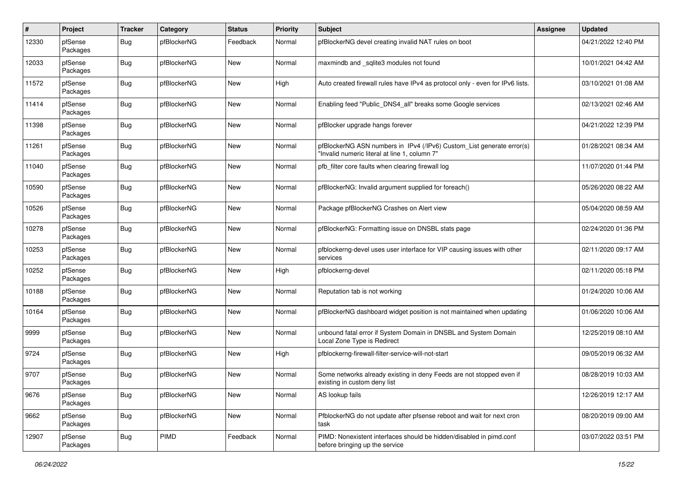| $\pmb{\#}$ | Project             | <b>Tracker</b> | Category    | <b>Status</b> | <b>Priority</b> | Subject                                                                                                                | Assignee | <b>Updated</b>      |
|------------|---------------------|----------------|-------------|---------------|-----------------|------------------------------------------------------------------------------------------------------------------------|----------|---------------------|
| 12330      | pfSense<br>Packages | Bug            | pfBlockerNG | Feedback      | Normal          | pfBlockerNG devel creating invalid NAT rules on boot                                                                   |          | 04/21/2022 12:40 PM |
| 12033      | pfSense<br>Packages | Bug            | pfBlockerNG | New           | Normal          | maxmindb and _sqlite3 modules not found                                                                                |          | 10/01/2021 04:42 AM |
| 11572      | pfSense<br>Packages | Bug            | pfBlockerNG | <b>New</b>    | High            | Auto created firewall rules have IPv4 as protocol only - even for IPv6 lists.                                          |          | 03/10/2021 01:08 AM |
| 11414      | pfSense<br>Packages | <b>Bug</b>     | pfBlockerNG | New           | Normal          | Enabling feed "Public_DNS4_all" breaks some Google services                                                            |          | 02/13/2021 02:46 AM |
| 11398      | pfSense<br>Packages | Bug            | pfBlockerNG | New           | Normal          | pfBlocker upgrade hangs forever                                                                                        |          | 04/21/2022 12:39 PM |
| 11261      | pfSense<br>Packages | Bug            | pfBlockerNG | <b>New</b>    | Normal          | pfBlockerNG ASN numbers in IPv4 (/IPv6) Custom_List generate error(s)<br>"Invalid numeric literal at line 1, column 7" |          | 01/28/2021 08:34 AM |
| 11040      | pfSense<br>Packages | Bug            | pfBlockerNG | New           | Normal          | pfb_filter core faults when clearing firewall log                                                                      |          | 11/07/2020 01:44 PM |
| 10590      | pfSense<br>Packages | Bug            | pfBlockerNG | New           | Normal          | pfBlockerNG: Invalid argument supplied for foreach()                                                                   |          | 05/26/2020 08:22 AM |
| 10526      | pfSense<br>Packages | Bug            | pfBlockerNG | <b>New</b>    | Normal          | Package pfBlockerNG Crashes on Alert view                                                                              |          | 05/04/2020 08:59 AM |
| 10278      | pfSense<br>Packages | Bug            | pfBlockerNG | <b>New</b>    | Normal          | pfBlockerNG: Formatting issue on DNSBL stats page                                                                      |          | 02/24/2020 01:36 PM |
| 10253      | pfSense<br>Packages | Bug            | pfBlockerNG | <b>New</b>    | Normal          | pfblockerng-devel uses user interface for VIP causing issues with other<br>services                                    |          | 02/11/2020 09:17 AM |
| 10252      | pfSense<br>Packages | Bug            | pfBlockerNG | New           | High            | pfblockerng-devel                                                                                                      |          | 02/11/2020 05:18 PM |
| 10188      | pfSense<br>Packages | Bug            | pfBlockerNG | New           | Normal          | Reputation tab is not working                                                                                          |          | 01/24/2020 10:06 AM |
| 10164      | pfSense<br>Packages | <b>Bug</b>     | pfBlockerNG | <b>New</b>    | Normal          | pfBlockerNG dashboard widget position is not maintained when updating                                                  |          | 01/06/2020 10:06 AM |
| 9999       | pfSense<br>Packages | Bug            | pfBlockerNG | New           | Normal          | unbound fatal error if System Domain in DNSBL and System Domain<br>Local Zone Type is Redirect                         |          | 12/25/2019 08:10 AM |
| 9724       | pfSense<br>Packages | <b>Bug</b>     | pfBlockerNG | New           | High            | pfblockerng-firewall-filter-service-will-not-start                                                                     |          | 09/05/2019 06:32 AM |
| 9707       | pfSense<br>Packages | <b>Bug</b>     | pfBlockerNG | <b>New</b>    | Normal          | Some networks already existing in deny Feeds are not stopped even if<br>existing in custom deny list                   |          | 08/28/2019 10:03 AM |
| 9676       | pfSense<br>Packages | <b>Bug</b>     | pfBlockerNG | <b>New</b>    | Normal          | AS lookup fails                                                                                                        |          | 12/26/2019 12:17 AM |
| 9662       | pfSense<br>Packages | <b>Bug</b>     | pfBlockerNG | <b>New</b>    | Normal          | PfblockerNG do not update after pfsense reboot and wait for next cron<br>task                                          |          | 08/20/2019 09:00 AM |
| 12907      | pfSense<br>Packages | <b>Bug</b>     | PIMD        | Feedback      | Normal          | PIMD: Nonexistent interfaces should be hidden/disabled in pimd.conf<br>before bringing up the service                  |          | 03/07/2022 03:51 PM |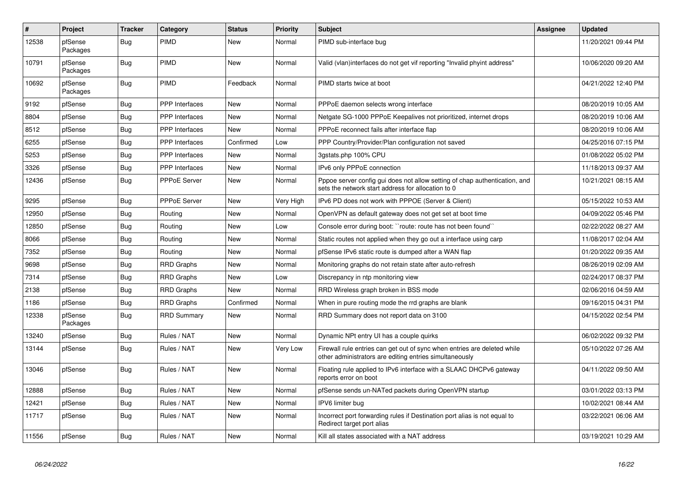| $\vert$ # | Project             | <b>Tracker</b> | Category              | <b>Status</b> | <b>Priority</b> | <b>Subject</b>                                                                                                                      | Assignee | <b>Updated</b>      |
|-----------|---------------------|----------------|-----------------------|---------------|-----------------|-------------------------------------------------------------------------------------------------------------------------------------|----------|---------------------|
| 12538     | pfSense<br>Packages | Bug            | PIMD                  | <b>New</b>    | Normal          | PIMD sub-interface bug                                                                                                              |          | 11/20/2021 09:44 PM |
| 10791     | pfSense<br>Packages | Bug            | PIMD                  | <b>New</b>    | Normal          | Valid (vlan)interfaces do not get vif reporting "Invalid phyint address"                                                            |          | 10/06/2020 09:20 AM |
| 10692     | pfSense<br>Packages | <b>Bug</b>     | PIMD                  | Feedback      | Normal          | PIMD starts twice at boot                                                                                                           |          | 04/21/2022 12:40 PM |
| 9192      | pfSense             | Bug            | PPP Interfaces        | <b>New</b>    | Normal          | PPPoE daemon selects wrong interface                                                                                                |          | 08/20/2019 10:05 AM |
| 8804      | pfSense             | <b>Bug</b>     | <b>PPP</b> Interfaces | <b>New</b>    | Normal          | Netgate SG-1000 PPPoE Keepalives not prioritized, internet drops                                                                    |          | 08/20/2019 10:06 AM |
| 8512      | pfSense             | <b>Bug</b>     | <b>PPP</b> Interfaces | <b>New</b>    | Normal          | PPPoE reconnect fails after interface flap                                                                                          |          | 08/20/2019 10:06 AM |
| 6255      | pfSense             | Bug            | <b>PPP</b> Interfaces | Confirmed     | Low             | PPP Country/Provider/Plan configuration not saved                                                                                   |          | 04/25/2016 07:15 PM |
| 5253      | pfSense             | Bug            | PPP Interfaces        | <b>New</b>    | Normal          | 3gstats.php 100% CPU                                                                                                                |          | 01/08/2022 05:02 PM |
| 3326      | pfSense             | <b>Bug</b>     | <b>PPP</b> Interfaces | <b>New</b>    | Normal          | IPv6 only PPPoE connection                                                                                                          |          | 11/18/2013 09:37 AM |
| 12436     | pfSense             | <b>Bug</b>     | <b>PPPoE Server</b>   | <b>New</b>    | Normal          | Pppoe server config gui does not allow setting of chap authentication, and<br>sets the network start address for allocation to 0    |          | 10/21/2021 08:15 AM |
| 9295      | pfSense             | <b>Bug</b>     | PPPoE Server          | <b>New</b>    | Very High       | IPv6 PD does not work with PPPOE (Server & Client)                                                                                  |          | 05/15/2022 10:53 AM |
| 12950     | pfSense             | <b>Bug</b>     | Routing               | New           | Normal          | OpenVPN as default gateway does not get set at boot time                                                                            |          | 04/09/2022 05:46 PM |
| 12850     | pfSense             | Bug            | Routing               | <b>New</b>    | Low             | Console error during boot: "route: route has not been found"                                                                        |          | 02/22/2022 08:27 AM |
| 8066      | pfSense             | <b>Bug</b>     | Routing               | <b>New</b>    | Normal          | Static routes not applied when they go out a interface using carp                                                                   |          | 11/08/2017 02:04 AM |
| 7352      | pfSense             | <b>Bug</b>     | Routing               | <b>New</b>    | Normal          | pfSense IPv6 static route is dumped after a WAN flap                                                                                |          | 01/20/2022 09:35 AM |
| 9698      | pfSense             | Bug            | <b>RRD Graphs</b>     | New           | Normal          | Monitoring graphs do not retain state after auto-refresh                                                                            |          | 08/26/2019 02:09 AM |
| 7314      | pfSense             | <b>Bug</b>     | RRD Graphs            | <b>New</b>    | Low             | Discrepancy in ntp monitoring view                                                                                                  |          | 02/24/2017 08:37 PM |
| 2138      | pfSense             | <b>Bug</b>     | <b>RRD Graphs</b>     | <b>New</b>    | Normal          | RRD Wireless graph broken in BSS mode                                                                                               |          | 02/06/2016 04:59 AM |
| 1186      | pfSense             | <b>Bug</b>     | <b>RRD Graphs</b>     | Confirmed     | Normal          | When in pure routing mode the rrd graphs are blank                                                                                  |          | 09/16/2015 04:31 PM |
| 12338     | pfSense<br>Packages | Bug            | <b>RRD Summary</b>    | New           | Normal          | RRD Summary does not report data on 3100                                                                                            |          | 04/15/2022 02:54 PM |
| 13240     | pfSense             | Bug            | Rules / NAT           | <b>New</b>    | Normal          | Dynamic NPt entry UI has a couple quirks                                                                                            |          | 06/02/2022 09:32 PM |
| 13144     | pfSense             | Bug            | Rules / NAT           | New           | Very Low        | Firewall rule entries can get out of sync when entries are deleted while<br>other administrators are editing entries simultaneously |          | 05/10/2022 07:26 AM |
| 13046     | pfSense             | <b>Bug</b>     | Rules / NAT           | New           | Normal          | Floating rule applied to IPv6 interface with a SLAAC DHCPv6 gateway<br>reports error on boot                                        |          | 04/11/2022 09:50 AM |
| 12888     | pfSense             | <b>Bug</b>     | Rules / NAT           | <b>New</b>    | Normal          | pfSense sends un-NATed packets during OpenVPN startup                                                                               |          | 03/01/2022 03:13 PM |
| 12421     | pfSense             | <b>Bug</b>     | Rules / NAT           | <b>New</b>    | Normal          | IPV6 limiter bug                                                                                                                    |          | 10/02/2021 08:44 AM |
| 11717     | pfSense             | <b>Bug</b>     | Rules / NAT           | New           | Normal          | Incorrect port forwarding rules if Destination port alias is not equal to<br>Redirect target port alias                             |          | 03/22/2021 06:06 AM |
| 11556     | pfSense             | Bug            | Rules / NAT           | <b>New</b>    | Normal          | Kill all states associated with a NAT address                                                                                       |          | 03/19/2021 10:29 AM |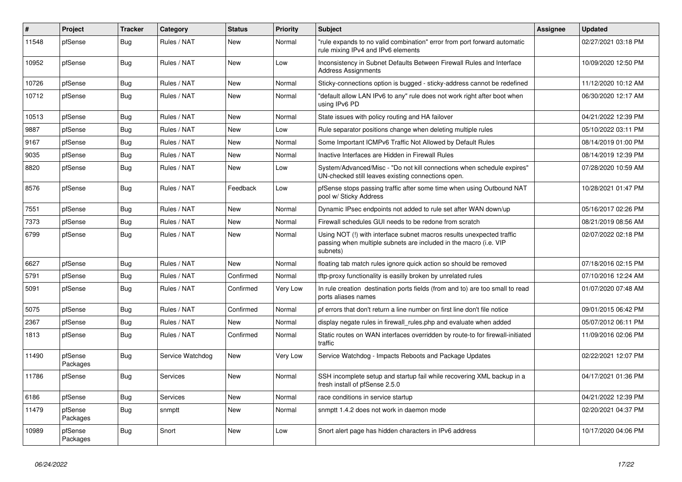| #     | Project             | <b>Tracker</b> | Category         | <b>Status</b> | Priority | <b>Subject</b>                                                                                                                                         | <b>Assignee</b> | <b>Updated</b>      |
|-------|---------------------|----------------|------------------|---------------|----------|--------------------------------------------------------------------------------------------------------------------------------------------------------|-----------------|---------------------|
| 11548 | pfSense             | <b>Bug</b>     | Rules / NAT      | <b>New</b>    | Normal   | 'rule expands to no valid combination" error from port forward automatic<br>rule mixing IPv4 and IPv6 elements                                         |                 | 02/27/2021 03:18 PM |
| 10952 | pfSense             | <b>Bug</b>     | Rules / NAT      | <b>New</b>    | Low      | Inconsistency in Subnet Defaults Between Firewall Rules and Interface<br><b>Address Assignments</b>                                                    |                 | 10/09/2020 12:50 PM |
| 10726 | pfSense             | <b>Bug</b>     | Rules / NAT      | <b>New</b>    | Normal   | Sticky-connections option is bugged - sticky-address cannot be redefined                                                                               |                 | 11/12/2020 10:12 AM |
| 10712 | pfSense             | <b>Bug</b>     | Rules / NAT      | <b>New</b>    | Normal   | 'default allow LAN IPv6 to any" rule does not work right after boot when<br>using IPv6 PD                                                              |                 | 06/30/2020 12:17 AM |
| 10513 | pfSense             | <b>Bug</b>     | Rules / NAT      | <b>New</b>    | Normal   | State issues with policy routing and HA failover                                                                                                       |                 | 04/21/2022 12:39 PM |
| 9887  | pfSense             | Bug            | Rules / NAT      | <b>New</b>    | Low      | Rule separator positions change when deleting multiple rules                                                                                           |                 | 05/10/2022 03:11 PM |
| 9167  | pfSense             | <b>Bug</b>     | Rules / NAT      | <b>New</b>    | Normal   | Some Important ICMPv6 Traffic Not Allowed by Default Rules                                                                                             |                 | 08/14/2019 01:00 PM |
| 9035  | pfSense             | <b>Bug</b>     | Rules / NAT      | <b>New</b>    | Normal   | Inactive Interfaces are Hidden in Firewall Rules                                                                                                       |                 | 08/14/2019 12:39 PM |
| 8820  | pfSense             | <b>Bug</b>     | Rules / NAT      | New           | Low      | System/Advanced/Misc - "Do not kill connections when schedule expires"<br>UN-checked still leaves existing connections open.                           |                 | 07/28/2020 10:59 AM |
| 8576  | pfSense             | Bug            | Rules / NAT      | Feedback      | Low      | pfSense stops passing traffic after some time when using Outbound NAT<br>pool w/ Sticky Address                                                        |                 | 10/28/2021 01:47 PM |
| 7551  | pfSense             | <b>Bug</b>     | Rules / NAT      | <b>New</b>    | Normal   | Dynamic IPsec endpoints not added to rule set after WAN down/up                                                                                        |                 | 05/16/2017 02:26 PM |
| 7373  | pfSense             | <b>Bug</b>     | Rules / NAT      | <b>New</b>    | Normal   | Firewall schedules GUI needs to be redone from scratch                                                                                                 |                 | 08/21/2019 08:56 AM |
| 6799  | pfSense             | <b>Bug</b>     | Rules / NAT      | <b>New</b>    | Normal   | Using NOT (!) with interface subnet macros results unexpected traffic<br>passing when multiple subnets are included in the macro (i.e. VIP<br>subnets) |                 | 02/07/2022 02:18 PM |
| 6627  | pfSense             | <b>Bug</b>     | Rules / NAT      | <b>New</b>    | Normal   | floating tab match rules ignore quick action so should be removed                                                                                      |                 | 07/18/2016 02:15 PM |
| 5791  | pfSense             | <b>Bug</b>     | Rules / NAT      | Confirmed     | Normal   | tftp-proxy functionality is easilly broken by unrelated rules                                                                                          |                 | 07/10/2016 12:24 AM |
| 5091  | pfSense             | <b>Bug</b>     | Rules / NAT      | Confirmed     | Very Low | In rule creation destination ports fields (from and to) are too small to read<br>ports aliases names                                                   |                 | 01/07/2020 07:48 AM |
| 5075  | pfSense             | Bug            | Rules / NAT      | Confirmed     | Normal   | pf errors that don't return a line number on first line don't file notice                                                                              |                 | 09/01/2015 06:42 PM |
| 2367  | pfSense             | Bug            | Rules / NAT      | New           | Normal   | display negate rules in firewall rules php and evaluate when added                                                                                     |                 | 05/07/2012 06:11 PM |
| 1813  | pfSense             | <b>Bug</b>     | Rules / NAT      | Confirmed     | Normal   | Static routes on WAN interfaces overridden by route-to for firewall-initiated<br>traffic                                                               |                 | 11/09/2016 02:06 PM |
| 11490 | pfSense<br>Packages | <b>Bug</b>     | Service Watchdog | <b>New</b>    | Very Low | Service Watchdog - Impacts Reboots and Package Updates                                                                                                 |                 | 02/22/2021 12:07 PM |
| 11786 | pfSense             | Bug            | Services         | New           | Normal   | SSH incomplete setup and startup fail while recovering XML backup in a<br>fresh install of pfSense 2.5.0                                               |                 | 04/17/2021 01:36 PM |
| 6186  | pfSense             | <b>Bug</b>     | Services         | <b>New</b>    | Normal   | race conditions in service startup                                                                                                                     |                 | 04/21/2022 12:39 PM |
| 11479 | pfSense<br>Packages | <b>Bug</b>     | snmptt           | New           | Normal   | snmptt 1.4.2 does not work in daemon mode                                                                                                              |                 | 02/20/2021 04:37 PM |
| 10989 | pfSense<br>Packages | Bug            | Snort            | <b>New</b>    | Low      | Snort alert page has hidden characters in IPv6 address                                                                                                 |                 | 10/17/2020 04:06 PM |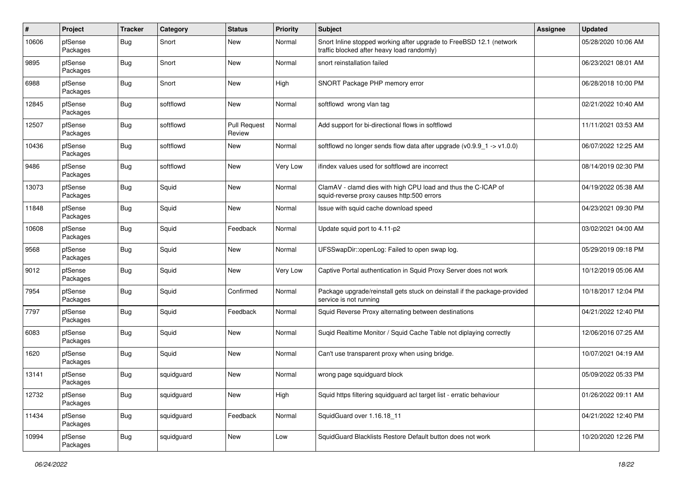| $\#$  | Project             | <b>Tracker</b> | Category   | <b>Status</b>                 | <b>Priority</b> | <b>Subject</b>                                                                                                    | Assignee | <b>Updated</b>      |
|-------|---------------------|----------------|------------|-------------------------------|-----------------|-------------------------------------------------------------------------------------------------------------------|----------|---------------------|
| 10606 | pfSense<br>Packages | Bug            | Snort      | New                           | Normal          | Snort Inline stopped working after upgrade to FreeBSD 12.1 (network<br>traffic blocked after heavy load randomly) |          | 05/28/2020 10:06 AM |
| 9895  | pfSense<br>Packages | Bug            | Snort      | <b>New</b>                    | Normal          | snort reinstallation failed                                                                                       |          | 06/23/2021 08:01 AM |
| 6988  | pfSense<br>Packages | <b>Bug</b>     | Snort      | <b>New</b>                    | High            | SNORT Package PHP memory error                                                                                    |          | 06/28/2018 10:00 PM |
| 12845 | pfSense<br>Packages | Bug            | softflowd  | New                           | Normal          | softflowd wrong vlan tag                                                                                          |          | 02/21/2022 10:40 AM |
| 12507 | pfSense<br>Packages | Bug            | softflowd  | <b>Pull Request</b><br>Review | Normal          | Add support for bi-directional flows in softflowd                                                                 |          | 11/11/2021 03:53 AM |
| 10436 | pfSense<br>Packages | <b>Bug</b>     | softflowd  | <b>New</b>                    | Normal          | softflowd no longer sends flow data after upgrade $(v0.9.9 - 1 > v1.0.0)$                                         |          | 06/07/2022 12:25 AM |
| 9486  | pfSense<br>Packages | <b>Bug</b>     | softflowd  | New                           | Very Low        | ifindex values used for softflowd are incorrect                                                                   |          | 08/14/2019 02:30 PM |
| 13073 | pfSense<br>Packages | Bug            | Squid      | New                           | Normal          | ClamAV - clamd dies with high CPU load and thus the C-ICAP of<br>squid-reverse proxy causes http:500 errors       |          | 04/19/2022 05:38 AM |
| 11848 | pfSense<br>Packages | Bug            | Squid      | <b>New</b>                    | Normal          | Issue with squid cache download speed                                                                             |          | 04/23/2021 09:30 PM |
| 10608 | pfSense<br>Packages | <b>Bug</b>     | Squid      | Feedback                      | Normal          | Update squid port to 4.11-p2                                                                                      |          | 03/02/2021 04:00 AM |
| 9568  | pfSense<br>Packages | Bug            | Squid      | <b>New</b>                    | Normal          | UFSSwapDir::openLog: Failed to open swap log.                                                                     |          | 05/29/2019 09:18 PM |
| 9012  | pfSense<br>Packages | Bug            | Squid      | New                           | Very Low        | Captive Portal authentication in Squid Proxy Server does not work                                                 |          | 10/12/2019 05:06 AM |
| 7954  | pfSense<br>Packages | <b>Bug</b>     | Squid      | Confirmed                     | Normal          | Package upgrade/reinstall gets stuck on deinstall if the package-provided<br>service is not running               |          | 10/18/2017 12:04 PM |
| 7797  | pfSense<br>Packages | <b>Bug</b>     | Squid      | Feedback                      | Normal          | Squid Reverse Proxy alternating between destinations                                                              |          | 04/21/2022 12:40 PM |
| 6083  | pfSense<br>Packages | Bug            | Squid      | New                           | Normal          | Suqid Realtime Monitor / Squid Cache Table not diplaying correctly                                                |          | 12/06/2016 07:25 AM |
| 1620  | pfSense<br>Packages | Bug            | Squid      | New                           | Normal          | Can't use transparent proxy when using bridge.                                                                    |          | 10/07/2021 04:19 AM |
| 13141 | pfSense<br>Packages | <b>Bug</b>     | squidguard | <b>New</b>                    | Normal          | wrong page squidguard block                                                                                       |          | 05/09/2022 05:33 PM |
| 12732 | pfSense<br>Packages | Bug            | squidguard | New                           | High            | Squid https filtering squidguard acl target list - erratic behaviour                                              |          | 01/26/2022 09:11 AM |
| 11434 | pfSense<br>Packages | <b>Bug</b>     | squidguard | Feedback                      | Normal          | SquidGuard over 1.16.18_11                                                                                        |          | 04/21/2022 12:40 PM |
| 10994 | pfSense<br>Packages | <b>Bug</b>     | squidguard | New                           | Low             | SquidGuard Blacklists Restore Default button does not work                                                        |          | 10/20/2020 12:26 PM |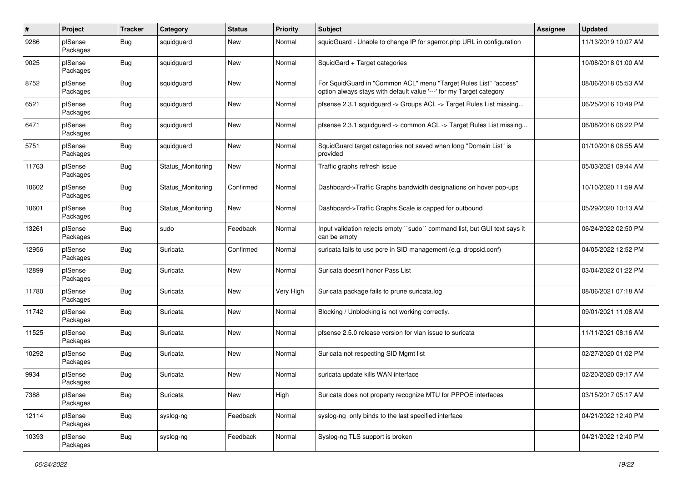| $\#$  | Project             | <b>Tracker</b> | Category          | <b>Status</b> | <b>Priority</b> | <b>Subject</b>                                                                                                                          | Assignee | <b>Updated</b>      |
|-------|---------------------|----------------|-------------------|---------------|-----------------|-----------------------------------------------------------------------------------------------------------------------------------------|----------|---------------------|
| 9286  | pfSense<br>Packages | Bug            | squidguard        | New           | Normal          | squidGuard - Unable to change IP for sgerror.php URL in configuration                                                                   |          | 11/13/2019 10:07 AM |
| 9025  | pfSense<br>Packages | Bug            | squidguard        | New           | Normal          | SquidGard + Target categories                                                                                                           |          | 10/08/2018 01:00 AM |
| 8752  | pfSense<br>Packages | Bug            | squidguard        | <b>New</b>    | Normal          | For SquidGuard in "Common ACL" menu "Target Rules List" "access"<br>option always stays with default value '---' for my Target category |          | 08/06/2018 05:53 AM |
| 6521  | pfSense<br>Packages | <b>Bug</b>     | squidguard        | New           | Normal          | pfsense 2.3.1 squidguard -> Groups ACL -> Target Rules List missing                                                                     |          | 06/25/2016 10:49 PM |
| 6471  | pfSense<br>Packages | Bug            | squidguard        | New           | Normal          | pfsense 2.3.1 squidguard -> common ACL -> Target Rules List missing                                                                     |          | 06/08/2016 06:22 PM |
| 5751  | pfSense<br>Packages | Bug            | squidguard        | New           | Normal          | SquidGuard target categories not saved when long "Domain List" is<br>provided                                                           |          | 01/10/2016 08:55 AM |
| 11763 | pfSense<br>Packages | Bug            | Status Monitoring | <b>New</b>    | Normal          | Traffic graphs refresh issue                                                                                                            |          | 05/03/2021 09:44 AM |
| 10602 | pfSense<br>Packages | Bug            | Status Monitoring | Confirmed     | Normal          | Dashboard->Traffic Graphs bandwidth designations on hover pop-ups                                                                       |          | 10/10/2020 11:59 AM |
| 10601 | pfSense<br>Packages | Bug            | Status Monitoring | <b>New</b>    | Normal          | Dashboard->Traffic Graphs Scale is capped for outbound                                                                                  |          | 05/29/2020 10:13 AM |
| 13261 | pfSense<br>Packages | <b>Bug</b>     | sudo              | Feedback      | Normal          | Input validation rejects empty "sudo" command list, but GUI text says it<br>can be empty                                                |          | 06/24/2022 02:50 PM |
| 12956 | pfSense<br>Packages | Bug            | Suricata          | Confirmed     | Normal          | suricata fails to use pcre in SID management (e.g. dropsid.conf)                                                                        |          | 04/05/2022 12:52 PM |
| 12899 | pfSense<br>Packages | Bug            | Suricata          | New           | Normal          | Suricata doesn't honor Pass List                                                                                                        |          | 03/04/2022 01:22 PM |
| 11780 | pfSense<br>Packages | Bug            | Suricata          | New           | Very High       | Suricata package fails to prune suricata.log                                                                                            |          | 08/06/2021 07:18 AM |
| 11742 | pfSense<br>Packages | <b>Bug</b>     | Suricata          | New           | Normal          | Blocking / Unblocking is not working correctly.                                                                                         |          | 09/01/2021 11:08 AM |
| 11525 | pfSense<br>Packages | Bug            | Suricata          | New           | Normal          | pfsense 2.5.0 release version for vlan issue to suricata                                                                                |          | 11/11/2021 08:16 AM |
| 10292 | pfSense<br>Packages | Bug            | Suricata          | New           | Normal          | Suricata not respecting SID Mgmt list                                                                                                   |          | 02/27/2020 01:02 PM |
| 9934  | pfSense<br>Packages | <b>Bug</b>     | Suricata          | <b>New</b>    | Normal          | suricata update kills WAN interface                                                                                                     |          | 02/20/2020 09:17 AM |
| 7388  | pfSense<br>Packages | Bug            | Suricata          | New           | High            | Suricata does not property recognize MTU for PPPOE interfaces                                                                           |          | 03/15/2017 05:17 AM |
| 12114 | pfSense<br>Packages | <b>Bug</b>     | syslog-ng         | Feedback      | Normal          | syslog-ng only binds to the last specified interface                                                                                    |          | 04/21/2022 12:40 PM |
| 10393 | pfSense<br>Packages | <b>Bug</b>     | syslog-ng         | Feedback      | Normal          | Syslog-ng TLS support is broken                                                                                                         |          | 04/21/2022 12:40 PM |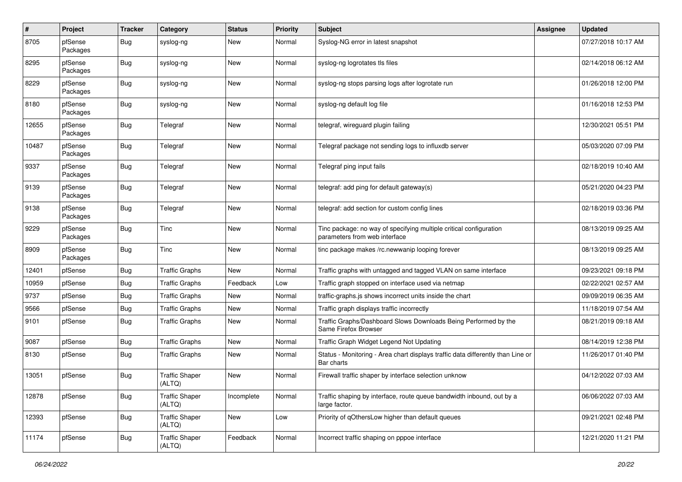| $\pmb{\#}$ | Project             | <b>Tracker</b> | Category                        | <b>Status</b> | <b>Priority</b> | <b>Subject</b>                                                                                      | Assignee | <b>Updated</b>      |
|------------|---------------------|----------------|---------------------------------|---------------|-----------------|-----------------------------------------------------------------------------------------------------|----------|---------------------|
| 8705       | pfSense<br>Packages | <b>Bug</b>     | syslog-ng                       | New           | Normal          | Syslog-NG error in latest snapshot                                                                  |          | 07/27/2018 10:17 AM |
| 8295       | pfSense<br>Packages | Bug            | syslog-ng                       | New           | Normal          | syslog-ng logrotates tls files                                                                      |          | 02/14/2018 06:12 AM |
| 8229       | pfSense<br>Packages | <b>Bug</b>     | syslog-ng                       | New           | Normal          | syslog-ng stops parsing logs after logrotate run                                                    |          | 01/26/2018 12:00 PM |
| 8180       | pfSense<br>Packages | <b>Bug</b>     | syslog-ng                       | New           | Normal          | syslog-ng default log file                                                                          |          | 01/16/2018 12:53 PM |
| 12655      | pfSense<br>Packages | Bug            | Telegraf                        | New           | Normal          | telegraf, wireguard plugin failing                                                                  |          | 12/30/2021 05:51 PM |
| 10487      | pfSense<br>Packages | Bug            | Telegraf                        | New           | Normal          | Telegraf package not sending logs to influxdb server                                                |          | 05/03/2020 07:09 PM |
| 9337       | pfSense<br>Packages | <b>Bug</b>     | Telegraf                        | New           | Normal          | Telegraf ping input fails                                                                           |          | 02/18/2019 10:40 AM |
| 9139       | pfSense<br>Packages | Bug            | Telegraf                        | New           | Normal          | telegraf: add ping for default gateway(s)                                                           |          | 05/21/2020 04:23 PM |
| 9138       | pfSense<br>Packages | Bug            | Telegraf                        | <b>New</b>    | Normal          | telegraf: add section for custom config lines                                                       |          | 02/18/2019 03:36 PM |
| 9229       | pfSense<br>Packages | <b>Bug</b>     | Tinc                            | <b>New</b>    | Normal          | Tinc package: no way of specifying multiple critical configuration<br>parameters from web interface |          | 08/13/2019 09:25 AM |
| 8909       | pfSense<br>Packages | <b>Bug</b>     | <b>Tinc</b>                     | <b>New</b>    | Normal          | tinc package makes /rc.newwanip looping forever                                                     |          | 08/13/2019 09:25 AM |
| 12401      | pfSense             | <b>Bug</b>     | <b>Traffic Graphs</b>           | <b>New</b>    | Normal          | Traffic graphs with untagged and tagged VLAN on same interface                                      |          | 09/23/2021 09:18 PM |
| 10959      | pfSense             | Bug            | <b>Traffic Graphs</b>           | Feedback      | Low             | Traffic graph stopped on interface used via netmap                                                  |          | 02/22/2021 02:57 AM |
| 9737       | pfSense             | <b>Bug</b>     | <b>Traffic Graphs</b>           | New           | Normal          | traffic-graphs.js shows incorrect units inside the chart                                            |          | 09/09/2019 06:35 AM |
| 9566       | pfSense             | <b>Bug</b>     | <b>Traffic Graphs</b>           | New           | Normal          | Traffic graph displays traffic incorrectly                                                          |          | 11/18/2019 07:54 AM |
| 9101       | pfSense             | Bug            | <b>Traffic Graphs</b>           | <b>New</b>    | Normal          | Traffic Graphs/Dashboard Slows Downloads Being Performed by the<br>Same Firefox Browser             |          | 08/21/2019 09:18 AM |
| 9087       | pfSense             | Bug            | <b>Traffic Graphs</b>           | <b>New</b>    | Normal          | Traffic Graph Widget Legend Not Updating                                                            |          | 08/14/2019 12:38 PM |
| 8130       | pfSense             | Bug            | <b>Traffic Graphs</b>           | <b>New</b>    | Normal          | Status - Monitoring - Area chart displays traffic data differently than Line or<br>Bar charts       |          | 11/26/2017 01:40 PM |
| 13051      | pfSense             | <b>Bug</b>     | <b>Traffic Shaper</b><br>(ALTQ) | <b>New</b>    | Normal          | Firewall traffic shaper by interface selection unknow                                               |          | 04/12/2022 07:03 AM |
| 12878      | pfSense             | <b>Bug</b>     | <b>Traffic Shaper</b><br>(ALTQ) | Incomplete    | Normal          | Traffic shaping by interface, route queue bandwidth inbound, out by a<br>large factor.              |          | 06/06/2022 07:03 AM |
| 12393      | pfSense             | <b>Bug</b>     | <b>Traffic Shaper</b><br>(ALTQ) | New           | Low             | Priority of qOthersLow higher than default queues                                                   |          | 09/21/2021 02:48 PM |
| 11174      | pfSense             | <b>Bug</b>     | <b>Traffic Shaper</b><br>(ALTQ) | Feedback      | Normal          | Incorrect traffic shaping on pppoe interface                                                        |          | 12/21/2020 11:21 PM |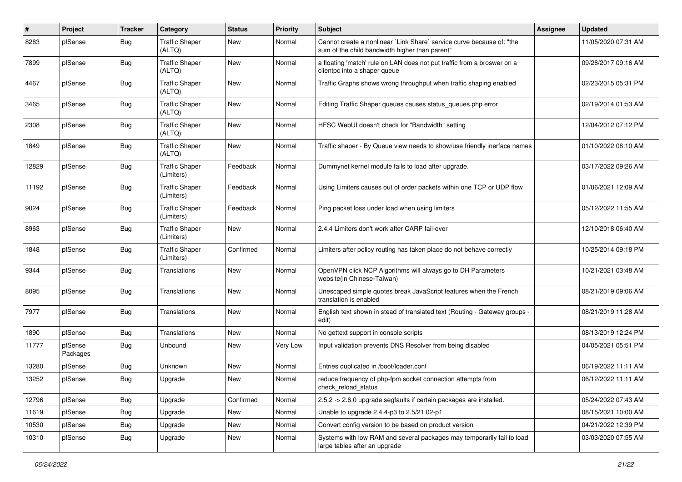| #     | Project             | <b>Tracker</b> | Category                            | <b>Status</b> | <b>Priority</b> | <b>Subject</b>                                                                                                          | <b>Assignee</b> | <b>Updated</b>      |
|-------|---------------------|----------------|-------------------------------------|---------------|-----------------|-------------------------------------------------------------------------------------------------------------------------|-----------------|---------------------|
| 8263  | pfSense             | <b>Bug</b>     | <b>Traffic Shaper</b><br>(ALTQ)     | New           | Normal          | Cannot create a nonlinear `Link Share` service curve because of: "the<br>sum of the child bandwidth higher than parent" |                 | 11/05/2020 07:31 AM |
| 7899  | pfSense             | Bug            | <b>Traffic Shaper</b><br>(ALTQ)     | New           | Normal          | a floating 'match' rule on LAN does not put traffic from a broswer on a<br>clientpc into a shaper queue                 |                 | 09/28/2017 09:16 AM |
| 4467  | pfSense             | Bug            | <b>Traffic Shaper</b><br>(ALTQ)     | New           | Normal          | Traffic Graphs shows wrong throughput when traffic shaping enabled                                                      |                 | 02/23/2015 05:31 PM |
| 3465  | pfSense             | <b>Bug</b>     | <b>Traffic Shaper</b><br>(ALTQ)     | <b>New</b>    | Normal          | Editing Traffic Shaper queues causes status_queues.php error                                                            |                 | 02/19/2014 01:53 AM |
| 2308  | pfSense             | <b>Bug</b>     | <b>Traffic Shaper</b><br>(ALTQ)     | New           | Normal          | HFSC WebUI doesn't check for "Bandwidth" setting                                                                        |                 | 12/04/2012 07:12 PM |
| 1849  | pfSense             | <b>Bug</b>     | <b>Traffic Shaper</b><br>(ALTQ)     | <b>New</b>    | Normal          | Traffic shaper - By Queue view needs to show/use friendly inerface names                                                |                 | 01/10/2022 08:10 AM |
| 12829 | pfSense             | Bug            | <b>Traffic Shaper</b><br>(Limiters) | Feedback      | Normal          | Dummynet kernel module fails to load after upgrade.                                                                     |                 | 03/17/2022 09:26 AM |
| 11192 | pfSense             | <b>Bug</b>     | <b>Traffic Shaper</b><br>(Limiters) | Feedback      | Normal          | Using Limiters causes out of order packets within one TCP or UDP flow                                                   |                 | 01/06/2021 12:09 AM |
| 9024  | pfSense             | Bug            | <b>Traffic Shaper</b><br>(Limiters) | Feedback      | Normal          | Ping packet loss under load when using limiters                                                                         |                 | 05/12/2022 11:55 AM |
| 8963  | pfSense             | <b>Bug</b>     | <b>Traffic Shaper</b><br>(Limiters) | <b>New</b>    | Normal          | 2.4.4 Limiters don't work after CARP fail-over                                                                          |                 | 12/10/2018 06:40 AM |
| 1848  | pfSense             | <b>Bug</b>     | <b>Traffic Shaper</b><br>(Limiters) | Confirmed     | Normal          | Limiters after policy routing has taken place do not behave correctly                                                   |                 | 10/25/2014 09:18 PM |
| 9344  | pfSense             | <b>Bug</b>     | Translations                        | <b>New</b>    | Normal          | OpenVPN click NCP Algorithms will always go to DH Parameters<br>website(in Chinese-Taiwan)                              |                 | 10/21/2021 03:48 AM |
| 8095  | pfSense             | <b>Bug</b>     | Translations                        | <b>New</b>    | Normal          | Unescaped simple quotes break JavaScript features when the French<br>translation is enabled                             |                 | 08/21/2019 09:06 AM |
| 7977  | pfSense             | Bug            | <b>Translations</b>                 | New           | Normal          | English text shown in stead of translated text (Routing - Gateway groups -<br>edit)                                     |                 | 08/21/2019 11:28 AM |
| 1890  | pfSense             | <b>Bug</b>     | Translations                        | <b>New</b>    | Normal          | No gettext support in console scripts                                                                                   |                 | 08/13/2019 12:24 PM |
| 11777 | pfSense<br>Packages | <b>Bug</b>     | Unbound                             | New           | Very Low        | Input validation prevents DNS Resolver from being disabled                                                              |                 | 04/05/2021 05:51 PM |
| 13280 | pfSense             | <b>Bug</b>     | Unknown                             | New           | Normal          | Entries duplicated in /boot/loader.conf                                                                                 |                 | 06/19/2022 11:11 AM |
| 13252 | pfSense             | Bug            | Upgrade                             | New           | Normal          | reduce frequency of php-fpm socket connection attempts from<br>check_reload_status                                      |                 | 06/12/2022 11:11 AM |
| 12796 | pfSense             | <b>Bug</b>     | Upgrade                             | Confirmed     | Normal          | 2.5.2 -> 2.6.0 upgrade segfaults if certain packages are installed.                                                     |                 | 05/24/2022 07:43 AM |
| 11619 | pfSense             | <b>Bug</b>     | Upgrade                             | New           | Normal          | Unable to upgrade 2.4.4-p3 to 2.5/21.02-p1                                                                              |                 | 08/15/2021 10:00 AM |
| 10530 | pfSense             | <b>Bug</b>     | Upgrade                             | New           | Normal          | Convert config version to be based on product version                                                                   |                 | 04/21/2022 12:39 PM |
| 10310 | pfSense             | Bug            | Upgrade                             | New           | Normal          | Systems with low RAM and several packages may temporarily fail to load<br>large tables after an upgrade                 |                 | 03/03/2020 07:55 AM |